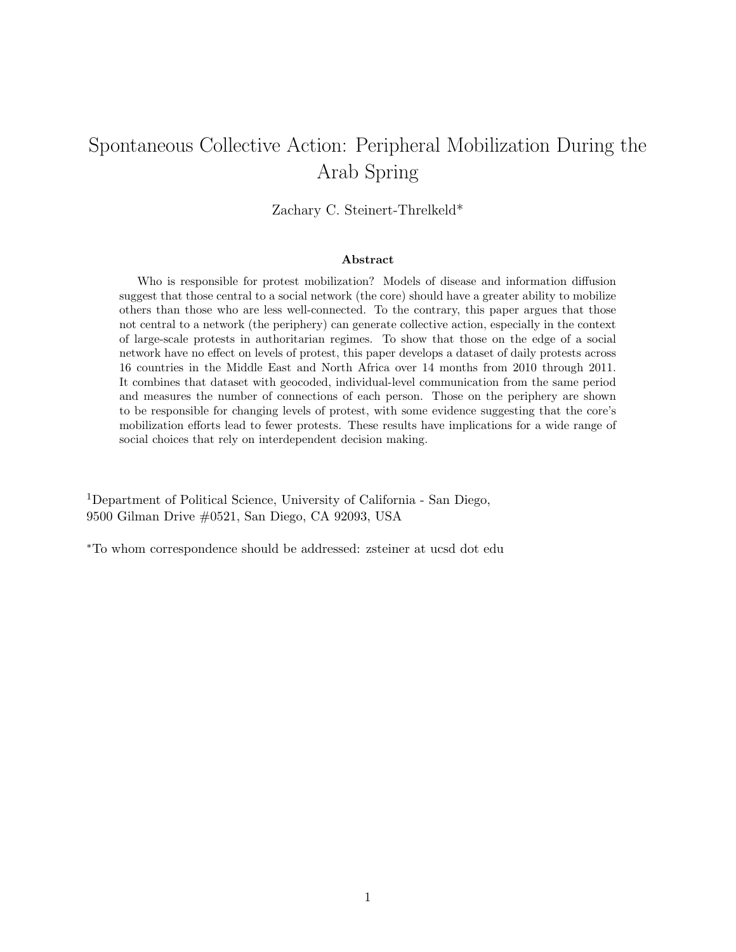# Spontaneous Collective Action: Peripheral Mobilization During the Arab Spring

Zachary C. Steinert-Threlkeld\*

#### Abstract

Who is responsible for protest mobilization? Models of disease and information diffusion suggest that those central to a social network (the core) should have a greater ability to mobilize others than those who are less well-connected. To the contrary, this paper argues that those not central to a network (the periphery) can generate collective action, especially in the context of large-scale protests in authoritarian regimes. To show that those on the edge of a social network have no effect on levels of protest, this paper develops a dataset of daily protests across 16 countries in the Middle East and North Africa over 14 months from 2010 through 2011. It combines that dataset with geocoded, individual-level communication from the same period and measures the number of connections of each person. Those on the periphery are shown to be responsible for changing levels of protest, with some evidence suggesting that the core's mobilization efforts lead to fewer protests. These results have implications for a wide range of social choices that rely on interdependent decision making.

<sup>1</sup>Department of Political Science, University of California - San Diego, 9500 Gilman Drive #0521, San Diego, CA 92093, USA

<sup>∗</sup>To whom correspondence should be addressed: zsteiner at ucsd dot edu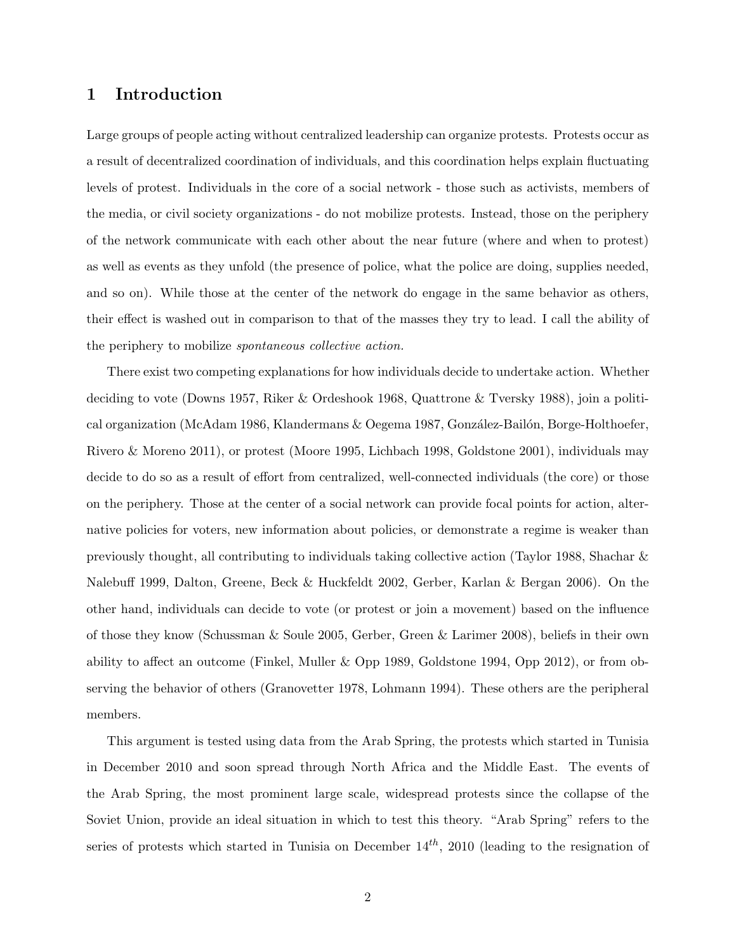# 1 Introduction

Large groups of people acting without centralized leadership can organize protests. Protests occur as a result of decentralized coordination of individuals, and this coordination helps explain fluctuating levels of protest. Individuals in the core of a social network - those such as activists, members of the media, or civil society organizations - do not mobilize protests. Instead, those on the periphery of the network communicate with each other about the near future (where and when to protest) as well as events as they unfold (the presence of police, what the police are doing, supplies needed, and so on). While those at the center of the network do engage in the same behavior as others, their effect is washed out in comparison to that of the masses they try to lead. I call the ability of the periphery to mobilize spontaneous collective action.

There exist two competing explanations for how individuals decide to undertake action. Whether deciding to vote (Downs 1957, Riker & Ordeshook 1968, Quattrone & Tversky 1988), join a political organization (McAdam 1986, Klandermans & Oegema 1987, González-Bailón, Borge-Holthoefer, Rivero & Moreno 2011), or protest (Moore 1995, Lichbach 1998, Goldstone 2001), individuals may decide to do so as a result of effort from centralized, well-connected individuals (the core) or those on the periphery. Those at the center of a social network can provide focal points for action, alternative policies for voters, new information about policies, or demonstrate a regime is weaker than previously thought, all contributing to individuals taking collective action (Taylor 1988, Shachar & Nalebuff 1999, Dalton, Greene, Beck & Huckfeldt 2002, Gerber, Karlan & Bergan 2006). On the other hand, individuals can decide to vote (or protest or join a movement) based on the influence of those they know (Schussman & Soule 2005, Gerber, Green & Larimer 2008), beliefs in their own ability to affect an outcome (Finkel, Muller & Opp 1989, Goldstone 1994, Opp 2012), or from observing the behavior of others (Granovetter 1978, Lohmann 1994). These others are the peripheral members.

This argument is tested using data from the Arab Spring, the protests which started in Tunisia in December 2010 and soon spread through North Africa and the Middle East. The events of the Arab Spring, the most prominent large scale, widespread protests since the collapse of the Soviet Union, provide an ideal situation in which to test this theory. "Arab Spring" refers to the series of protests which started in Tunisia on December  $14^{th}$ , 2010 (leading to the resignation of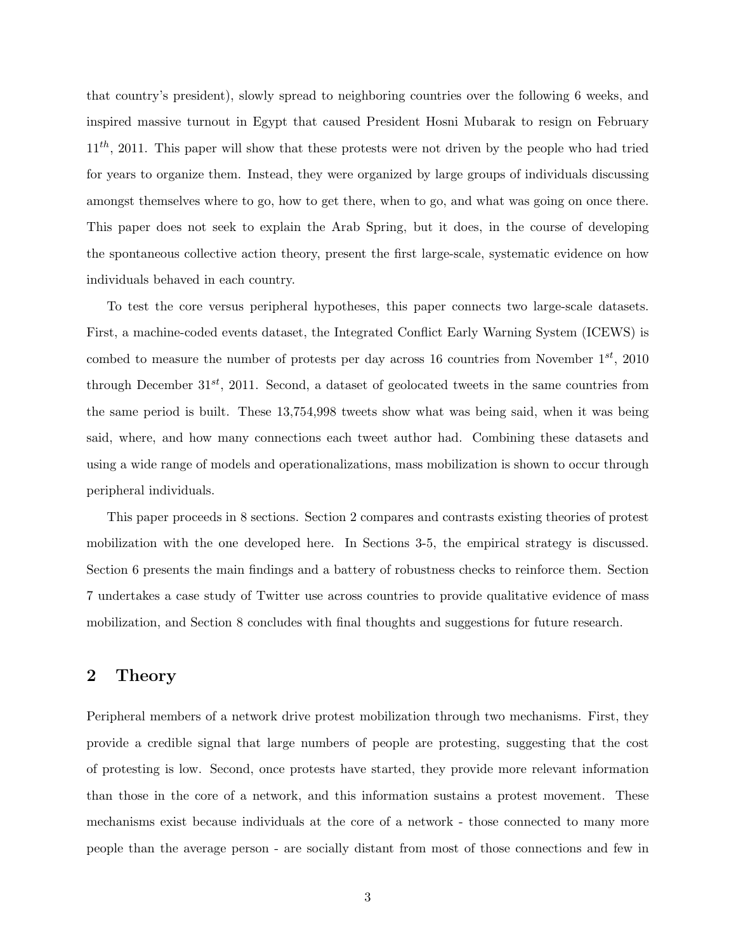that country's president), slowly spread to neighboring countries over the following 6 weeks, and inspired massive turnout in Egypt that caused President Hosni Mubarak to resign on February  $11<sup>th</sup>$ , 2011. This paper will show that these protests were not driven by the people who had tried for years to organize them. Instead, they were organized by large groups of individuals discussing amongst themselves where to go, how to get there, when to go, and what was going on once there. This paper does not seek to explain the Arab Spring, but it does, in the course of developing the spontaneous collective action theory, present the first large-scale, systematic evidence on how individuals behaved in each country.

To test the core versus peripheral hypotheses, this paper connects two large-scale datasets. First, a machine-coded events dataset, the Integrated Conflict Early Warning System (ICEWS) is combed to measure the number of protests per day across 16 countries from November  $1^{st}$ , 2010 through December  $31^{st}$ , 2011. Second, a dataset of geolocated tweets in the same countries from the same period is built. These 13,754,998 tweets show what was being said, when it was being said, where, and how many connections each tweet author had. Combining these datasets and using a wide range of models and operationalizations, mass mobilization is shown to occur through peripheral individuals.

This paper proceeds in 8 sections. Section 2 compares and contrasts existing theories of protest mobilization with the one developed here. In Sections 3-5, the empirical strategy is discussed. Section 6 presents the main findings and a battery of robustness checks to reinforce them. Section 7 undertakes a case study of Twitter use across countries to provide qualitative evidence of mass mobilization, and Section 8 concludes with final thoughts and suggestions for future research.

# 2 Theory

Peripheral members of a network drive protest mobilization through two mechanisms. First, they provide a credible signal that large numbers of people are protesting, suggesting that the cost of protesting is low. Second, once protests have started, they provide more relevant information than those in the core of a network, and this information sustains a protest movement. These mechanisms exist because individuals at the core of a network - those connected to many more people than the average person - are socially distant from most of those connections and few in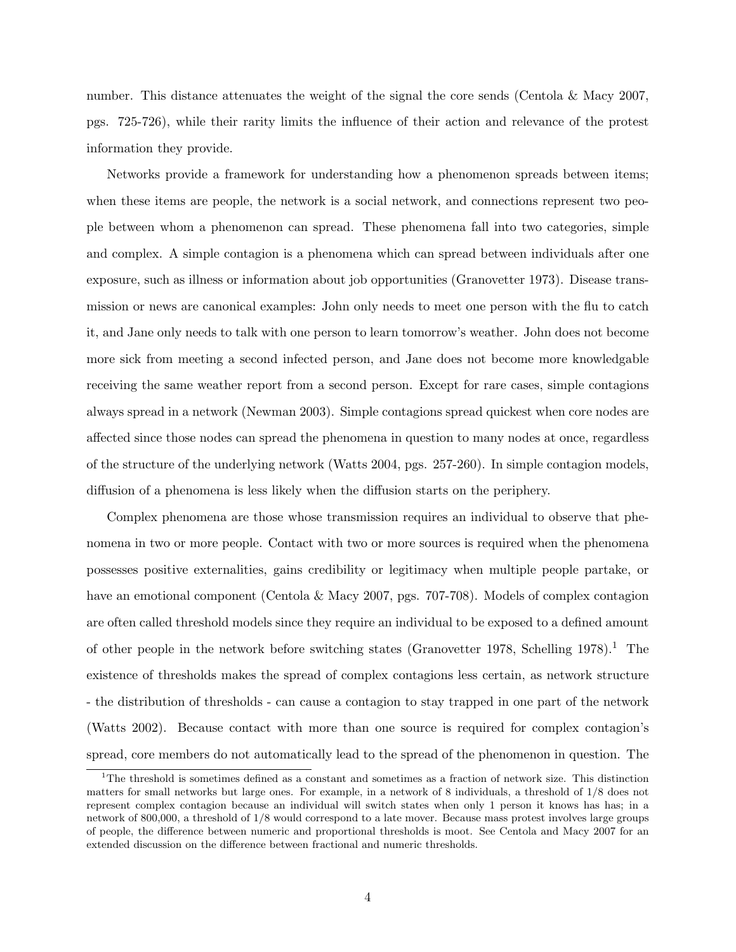number. This distance attenuates the weight of the signal the core sends (Centola & Macy 2007, pgs. 725-726), while their rarity limits the influence of their action and relevance of the protest information they provide.

Networks provide a framework for understanding how a phenomenon spreads between items; when these items are people, the network is a social network, and connections represent two people between whom a phenomenon can spread. These phenomena fall into two categories, simple and complex. A simple contagion is a phenomena which can spread between individuals after one exposure, such as illness or information about job opportunities (Granovetter 1973). Disease transmission or news are canonical examples: John only needs to meet one person with the flu to catch it, and Jane only needs to talk with one person to learn tomorrow's weather. John does not become more sick from meeting a second infected person, and Jane does not become more knowledgable receiving the same weather report from a second person. Except for rare cases, simple contagions always spread in a network (Newman 2003). Simple contagions spread quickest when core nodes are affected since those nodes can spread the phenomena in question to many nodes at once, regardless of the structure of the underlying network (Watts 2004, pgs. 257-260). In simple contagion models, diffusion of a phenomena is less likely when the diffusion starts on the periphery.

Complex phenomena are those whose transmission requires an individual to observe that phenomena in two or more people. Contact with two or more sources is required when the phenomena possesses positive externalities, gains credibility or legitimacy when multiple people partake, or have an emotional component (Centola & Macy 2007, pgs. 707-708). Models of complex contagion are often called threshold models since they require an individual to be exposed to a defined amount of other people in the network before switching states (Granovetter 1978, Schelling 1978).<sup>1</sup> The existence of thresholds makes the spread of complex contagions less certain, as network structure - the distribution of thresholds - can cause a contagion to stay trapped in one part of the network (Watts 2002). Because contact with more than one source is required for complex contagion's spread, core members do not automatically lead to the spread of the phenomenon in question. The

<sup>&</sup>lt;sup>1</sup>The threshold is sometimes defined as a constant and sometimes as a fraction of network size. This distinction matters for small networks but large ones. For example, in a network of 8 individuals, a threshold of 1/8 does not represent complex contagion because an individual will switch states when only 1 person it knows has has; in a network of 800,000, a threshold of 1/8 would correspond to a late mover. Because mass protest involves large groups of people, the difference between numeric and proportional thresholds is moot. See Centola and Macy 2007 for an extended discussion on the difference between fractional and numeric thresholds.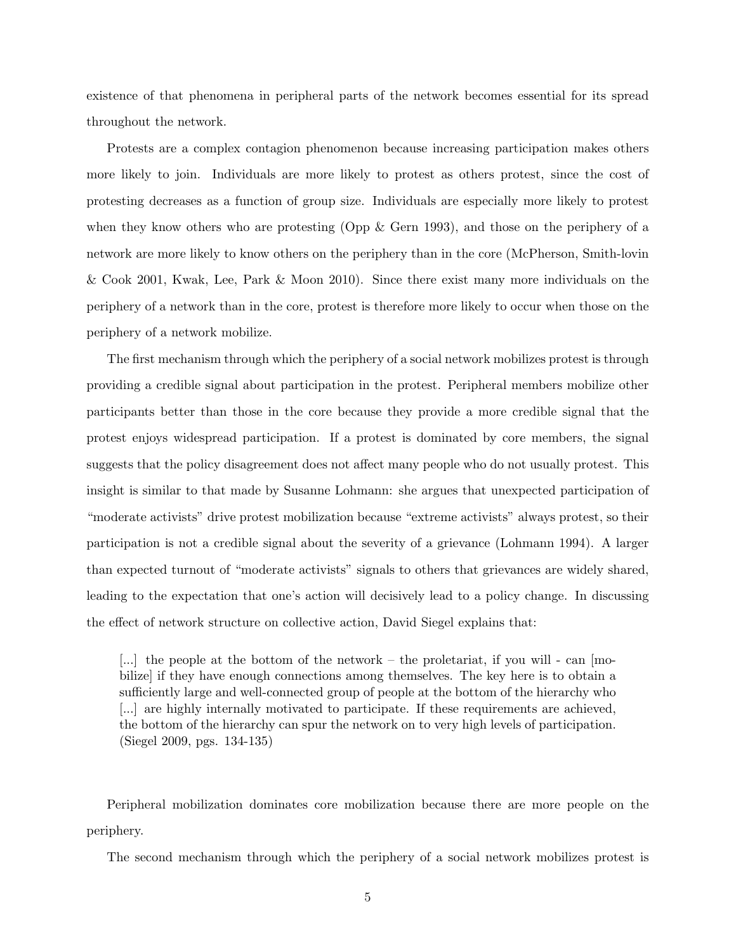existence of that phenomena in peripheral parts of the network becomes essential for its spread throughout the network.

Protests are a complex contagion phenomenon because increasing participation makes others more likely to join. Individuals are more likely to protest as others protest, since the cost of protesting decreases as a function of group size. Individuals are especially more likely to protest when they know others who are protesting (Opp  $\&$  Gern 1993), and those on the periphery of a network are more likely to know others on the periphery than in the core (McPherson, Smith-lovin & Cook 2001, Kwak, Lee, Park & Moon 2010). Since there exist many more individuals on the periphery of a network than in the core, protest is therefore more likely to occur when those on the periphery of a network mobilize.

The first mechanism through which the periphery of a social network mobilizes protest is through providing a credible signal about participation in the protest. Peripheral members mobilize other participants better than those in the core because they provide a more credible signal that the protest enjoys widespread participation. If a protest is dominated by core members, the signal suggests that the policy disagreement does not affect many people who do not usually protest. This insight is similar to that made by Susanne Lohmann: she argues that unexpected participation of "moderate activists" drive protest mobilization because "extreme activists" always protest, so their participation is not a credible signal about the severity of a grievance (Lohmann 1994). A larger than expected turnout of "moderate activists" signals to others that grievances are widely shared, leading to the expectation that one's action will decisively lead to a policy change. In discussing the effect of network structure on collective action, David Siegel explains that:

[...] the people at the bottom of the network – the proletariat, if you will - can [mobilize] if they have enough connections among themselves. The key here is to obtain a sufficiently large and well-connected group of people at the bottom of the hierarchy who [...] are highly internally motivated to participate. If these requirements are achieved, the bottom of the hierarchy can spur the network on to very high levels of participation. (Siegel 2009, pgs. 134-135)

Peripheral mobilization dominates core mobilization because there are more people on the periphery.

The second mechanism through which the periphery of a social network mobilizes protest is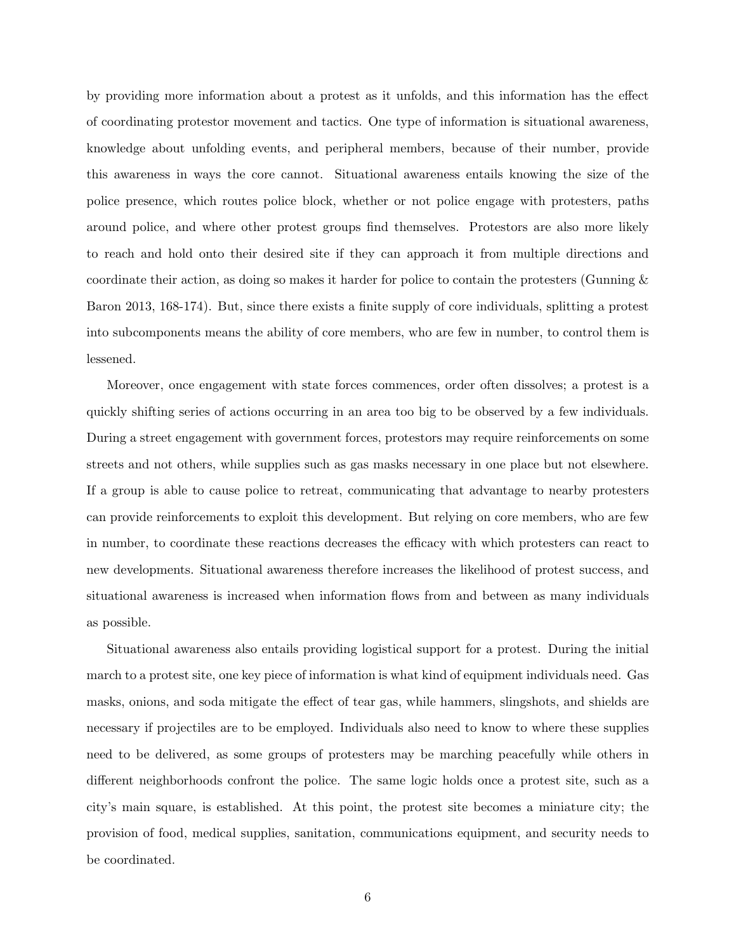by providing more information about a protest as it unfolds, and this information has the effect of coordinating protestor movement and tactics. One type of information is situational awareness, knowledge about unfolding events, and peripheral members, because of their number, provide this awareness in ways the core cannot. Situational awareness entails knowing the size of the police presence, which routes police block, whether or not police engage with protesters, paths around police, and where other protest groups find themselves. Protestors are also more likely to reach and hold onto their desired site if they can approach it from multiple directions and coordinate their action, as doing so makes it harder for police to contain the protesters (Gunning  $\&$ Baron 2013, 168-174). But, since there exists a finite supply of core individuals, splitting a protest into subcomponents means the ability of core members, who are few in number, to control them is lessened.

Moreover, once engagement with state forces commences, order often dissolves; a protest is a quickly shifting series of actions occurring in an area too big to be observed by a few individuals. During a street engagement with government forces, protestors may require reinforcements on some streets and not others, while supplies such as gas masks necessary in one place but not elsewhere. If a group is able to cause police to retreat, communicating that advantage to nearby protesters can provide reinforcements to exploit this development. But relying on core members, who are few in number, to coordinate these reactions decreases the efficacy with which protesters can react to new developments. Situational awareness therefore increases the likelihood of protest success, and situational awareness is increased when information flows from and between as many individuals as possible.

Situational awareness also entails providing logistical support for a protest. During the initial march to a protest site, one key piece of information is what kind of equipment individuals need. Gas masks, onions, and soda mitigate the effect of tear gas, while hammers, slingshots, and shields are necessary if projectiles are to be employed. Individuals also need to know to where these supplies need to be delivered, as some groups of protesters may be marching peacefully while others in different neighborhoods confront the police. The same logic holds once a protest site, such as a city's main square, is established. At this point, the protest site becomes a miniature city; the provision of food, medical supplies, sanitation, communications equipment, and security needs to be coordinated.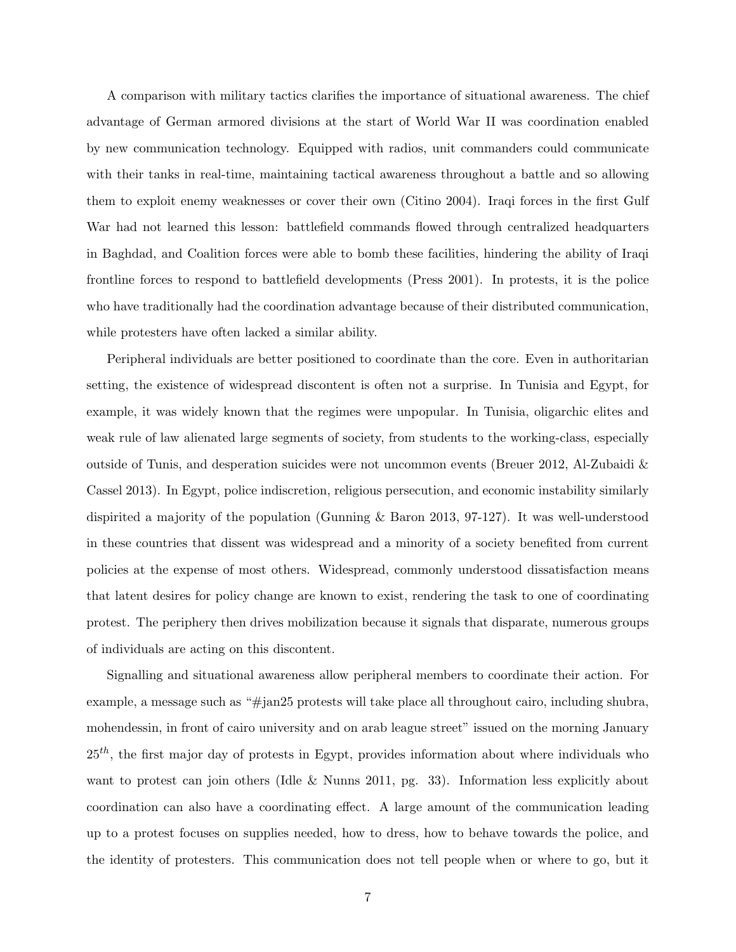A comparison with military tactics clarifies the importance of situational awareness. The chief advantage of German armored divisions at the start of World War II was coordination enabled by new communication technology. Equipped with radios, unit commanders could communicate with their tanks in real-time, maintaining tactical awareness throughout a battle and so allowing them to exploit enemy weaknesses or cover their own (Citino 2004). Iraqi forces in the first Gulf War had not learned this lesson: battlefield commands flowed through centralized headquarters in Baghdad, and Coalition forces were able to bomb these facilities, hindering the ability of Iraqi frontline forces to respond to battlefield developments (Press 2001). In protests, it is the police who have traditionally had the coordination advantage because of their distributed communication, while protesters have often lacked a similar ability.

Peripheral individuals are better positioned to coordinate than the core. Even in authoritarian setting, the existence of widespread discontent is often not a surprise. In Tunisia and Egypt, for example, it was widely known that the regimes were unpopular. In Tunisia, oligarchic elites and weak rule of law alienated large segments of society, from students to the working-class, especially outside of Tunis, and desperation suicides were not uncommon events (Breuer 2012, Al-Zubaidi  $\&$ Cassel 2013). In Egypt, police indiscretion, religious persecution, and economic instability similarly dispirited a majority of the population (Gunning & Baron 2013, 97-127). It was well-understood in these countries that dissent was widespread and a minority of a society benefited from current policies at the expense of most others. Widespread, commonly understood dissatisfaction means that latent desires for policy change are known to exist, rendering the task to one of coordinating protest. The periphery then drives mobilization because it signals that disparate, numerous groups of individuals are acting on this discontent.

Signalling and situational awareness allow peripheral members to coordinate their action. For example, a message such as "#jan25 protests will take place all throughout cairo, including shubra, mohendessin, in front of cairo university and on arab league street" issued on the morning January  $25<sup>th</sup>$ , the first major day of protests in Egypt, provides information about where individuals who want to protest can join others (Idle & Nunns 2011, pg. 33). Information less explicitly about coordination can also have a coordinating effect. A large amount of the communication leading up to a protest focuses on supplies needed, how to dress, how to behave towards the police, and the identity of protesters. This communication does not tell people when or where to go, but it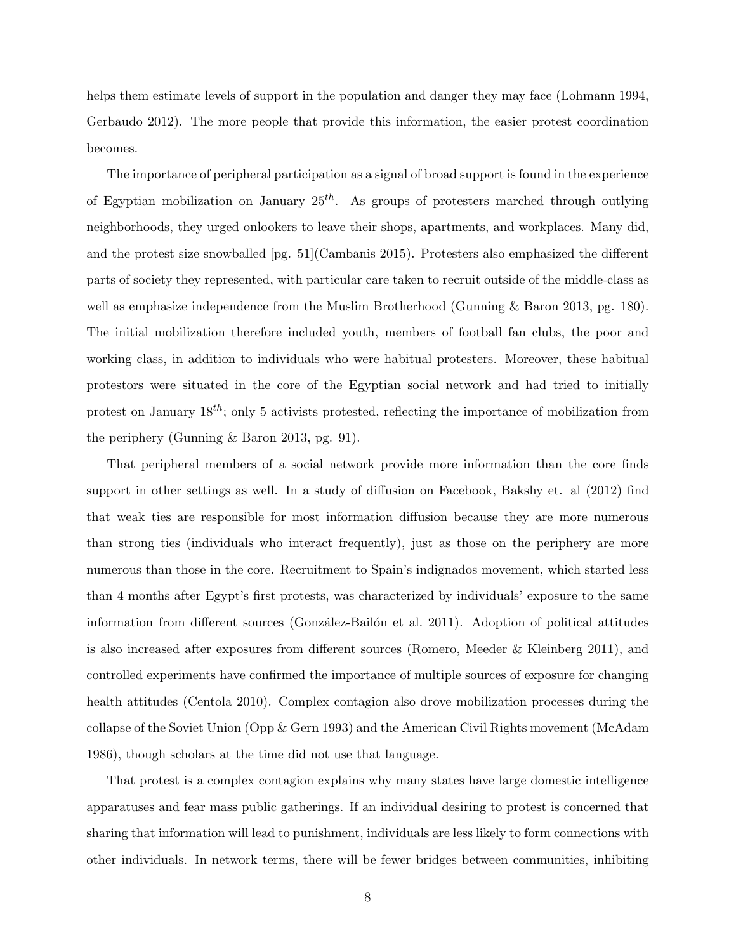helps them estimate levels of support in the population and danger they may face (Lohmann 1994, Gerbaudo 2012). The more people that provide this information, the easier protest coordination becomes.

The importance of peripheral participation as a signal of broad support is found in the experience of Egyptian mobilization on January  $25^{th}$ . As groups of protesters marched through outlying neighborhoods, they urged onlookers to leave their shops, apartments, and workplaces. Many did, and the protest size snowballed [pg. 51](Cambanis 2015). Protesters also emphasized the different parts of society they represented, with particular care taken to recruit outside of the middle-class as well as emphasize independence from the Muslim Brotherhood (Gunning & Baron 2013, pg. 180). The initial mobilization therefore included youth, members of football fan clubs, the poor and working class, in addition to individuals who were habitual protesters. Moreover, these habitual protestors were situated in the core of the Egyptian social network and had tried to initially protest on January  $18^{th}$ ; only 5 activists protested, reflecting the importance of mobilization from the periphery (Gunning & Baron 2013, pg. 91).

That peripheral members of a social network provide more information than the core finds support in other settings as well. In a study of diffusion on Facebook, Bakshy et. al (2012) find that weak ties are responsible for most information diffusion because they are more numerous than strong ties (individuals who interact frequently), just as those on the periphery are more numerous than those in the core. Recruitment to Spain's indignados movement, which started less than 4 months after Egypt's first protests, was characterized by individuals' exposure to the same information from different sources (González-Bailón et al. 2011). Adoption of political attitudes is also increased after exposures from different sources (Romero, Meeder & Kleinberg 2011), and controlled experiments have confirmed the importance of multiple sources of exposure for changing health attitudes (Centola 2010). Complex contagion also drove mobilization processes during the collapse of the Soviet Union (Opp & Gern 1993) and the American Civil Rights movement (McAdam 1986), though scholars at the time did not use that language.

That protest is a complex contagion explains why many states have large domestic intelligence apparatuses and fear mass public gatherings. If an individual desiring to protest is concerned that sharing that information will lead to punishment, individuals are less likely to form connections with other individuals. In network terms, there will be fewer bridges between communities, inhibiting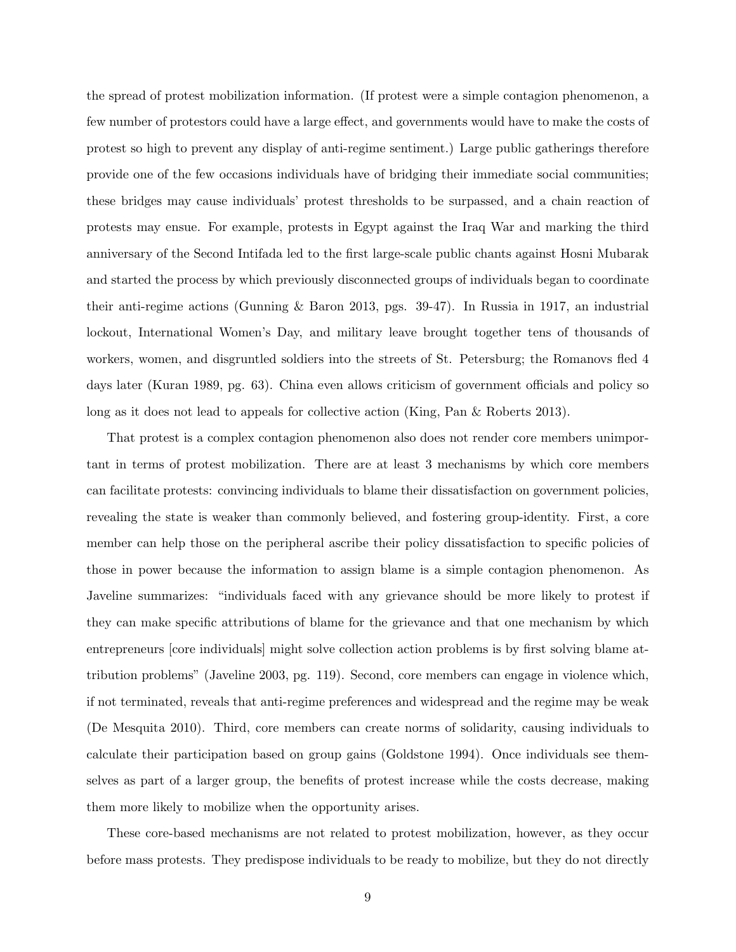the spread of protest mobilization information. (If protest were a simple contagion phenomenon, a few number of protestors could have a large effect, and governments would have to make the costs of protest so high to prevent any display of anti-regime sentiment.) Large public gatherings therefore provide one of the few occasions individuals have of bridging their immediate social communities; these bridges may cause individuals' protest thresholds to be surpassed, and a chain reaction of protests may ensue. For example, protests in Egypt against the Iraq War and marking the third anniversary of the Second Intifada led to the first large-scale public chants against Hosni Mubarak and started the process by which previously disconnected groups of individuals began to coordinate their anti-regime actions (Gunning & Baron 2013, pgs. 39-47). In Russia in 1917, an industrial lockout, International Women's Day, and military leave brought together tens of thousands of workers, women, and disgruntled soldiers into the streets of St. Petersburg; the Romanovs fled 4 days later (Kuran 1989, pg. 63). China even allows criticism of government officials and policy so long as it does not lead to appeals for collective action (King, Pan & Roberts 2013).

That protest is a complex contagion phenomenon also does not render core members unimportant in terms of protest mobilization. There are at least 3 mechanisms by which core members can facilitate protests: convincing individuals to blame their dissatisfaction on government policies, revealing the state is weaker than commonly believed, and fostering group-identity. First, a core member can help those on the peripheral ascribe their policy dissatisfaction to specific policies of those in power because the information to assign blame is a simple contagion phenomenon. As Javeline summarizes: "individuals faced with any grievance should be more likely to protest if they can make specific attributions of blame for the grievance and that one mechanism by which entrepreneurs [core individuals] might solve collection action problems is by first solving blame attribution problems" (Javeline 2003, pg. 119). Second, core members can engage in violence which, if not terminated, reveals that anti-regime preferences and widespread and the regime may be weak (De Mesquita 2010). Third, core members can create norms of solidarity, causing individuals to calculate their participation based on group gains (Goldstone 1994). Once individuals see themselves as part of a larger group, the benefits of protest increase while the costs decrease, making them more likely to mobilize when the opportunity arises.

These core-based mechanisms are not related to protest mobilization, however, as they occur before mass protests. They predispose individuals to be ready to mobilize, but they do not directly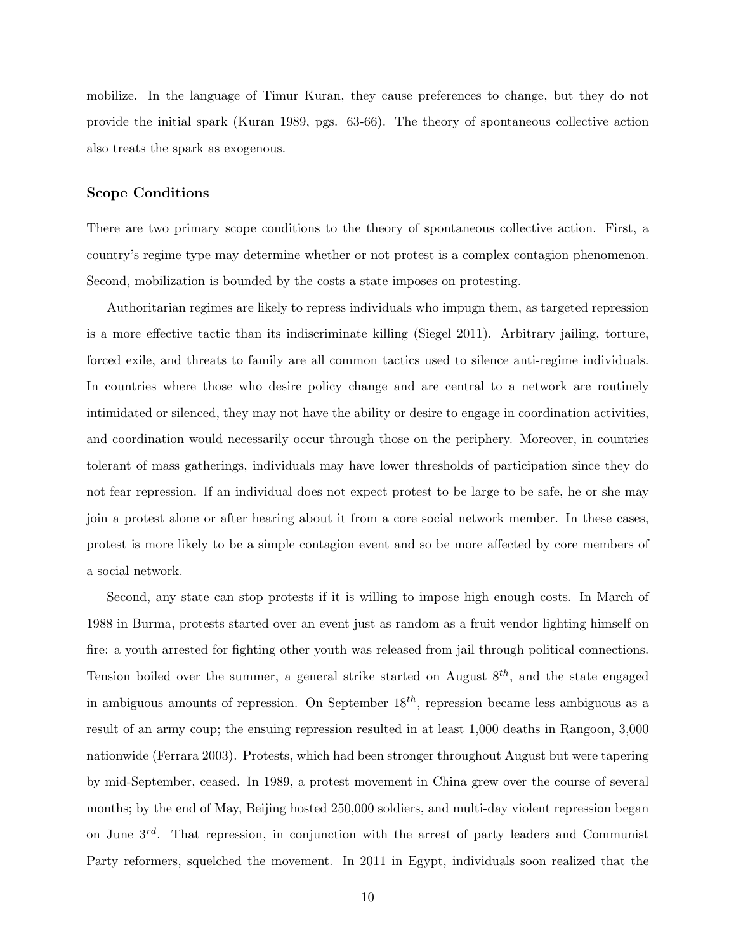mobilize. In the language of Timur Kuran, they cause preferences to change, but they do not provide the initial spark (Kuran 1989, pgs. 63-66). The theory of spontaneous collective action also treats the spark as exogenous.

#### Scope Conditions

There are two primary scope conditions to the theory of spontaneous collective action. First, a country's regime type may determine whether or not protest is a complex contagion phenomenon. Second, mobilization is bounded by the costs a state imposes on protesting.

Authoritarian regimes are likely to repress individuals who impugn them, as targeted repression is a more effective tactic than its indiscriminate killing (Siegel 2011). Arbitrary jailing, torture, forced exile, and threats to family are all common tactics used to silence anti-regime individuals. In countries where those who desire policy change and are central to a network are routinely intimidated or silenced, they may not have the ability or desire to engage in coordination activities, and coordination would necessarily occur through those on the periphery. Moreover, in countries tolerant of mass gatherings, individuals may have lower thresholds of participation since they do not fear repression. If an individual does not expect protest to be large to be safe, he or she may join a protest alone or after hearing about it from a core social network member. In these cases, protest is more likely to be a simple contagion event and so be more affected by core members of a social network.

Second, any state can stop protests if it is willing to impose high enough costs. In March of 1988 in Burma, protests started over an event just as random as a fruit vendor lighting himself on fire: a youth arrested for fighting other youth was released from jail through political connections. Tension boiled over the summer, a general strike started on August  $8^{th}$ , and the state engaged in ambiguous amounts of repression. On September  $18^{th}$ , repression became less ambiguous as a result of an army coup; the ensuing repression resulted in at least 1,000 deaths in Rangoon, 3,000 nationwide (Ferrara 2003). Protests, which had been stronger throughout August but were tapering by mid-September, ceased. In 1989, a protest movement in China grew over the course of several months; by the end of May, Beijing hosted 250,000 soldiers, and multi-day violent repression began on June  $3^{rd}$ . That repression, in conjunction with the arrest of party leaders and Communist Party reformers, squelched the movement. In 2011 in Egypt, individuals soon realized that the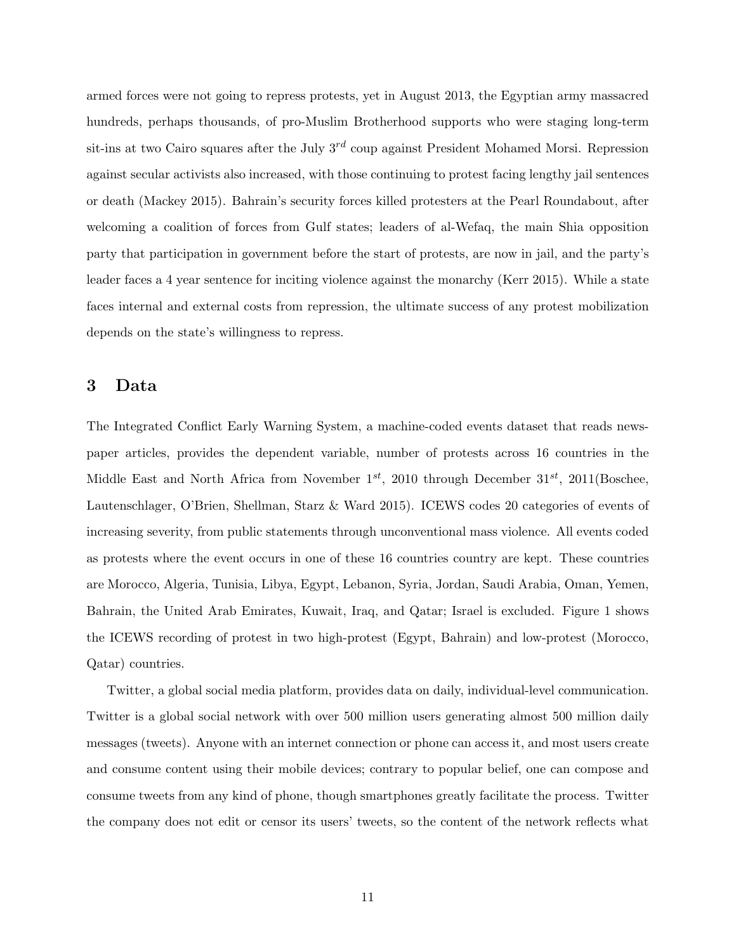armed forces were not going to repress protests, yet in August 2013, the Egyptian army massacred hundreds, perhaps thousands, of pro-Muslim Brotherhood supports who were staging long-term sit-ins at two Cairo squares after the July  $3^{rd}$  coup against President Mohamed Morsi. Repression against secular activists also increased, with those continuing to protest facing lengthy jail sentences or death (Mackey 2015). Bahrain's security forces killed protesters at the Pearl Roundabout, after welcoming a coalition of forces from Gulf states; leaders of al-Wefaq, the main Shia opposition party that participation in government before the start of protests, are now in jail, and the party's leader faces a 4 year sentence for inciting violence against the monarchy (Kerr 2015). While a state faces internal and external costs from repression, the ultimate success of any protest mobilization depends on the state's willingness to repress.

### 3 Data

The Integrated Conflict Early Warning System, a machine-coded events dataset that reads newspaper articles, provides the dependent variable, number of protests across 16 countries in the Middle East and North Africa from November  $1^{st}$ , 2010 through December  $31^{st}$ , 2011(Boschee, Lautenschlager, O'Brien, Shellman, Starz & Ward 2015). ICEWS codes 20 categories of events of increasing severity, from public statements through unconventional mass violence. All events coded as protests where the event occurs in one of these 16 countries country are kept. These countries are Morocco, Algeria, Tunisia, Libya, Egypt, Lebanon, Syria, Jordan, Saudi Arabia, Oman, Yemen, Bahrain, the United Arab Emirates, Kuwait, Iraq, and Qatar; Israel is excluded. Figure 1 shows the ICEWS recording of protest in two high-protest (Egypt, Bahrain) and low-protest (Morocco, Qatar) countries.

Twitter, a global social media platform, provides data on daily, individual-level communication. Twitter is a global social network with over 500 million users generating almost 500 million daily messages (tweets). Anyone with an internet connection or phone can access it, and most users create and consume content using their mobile devices; contrary to popular belief, one can compose and consume tweets from any kind of phone, though smartphones greatly facilitate the process. Twitter the company does not edit or censor its users' tweets, so the content of the network reflects what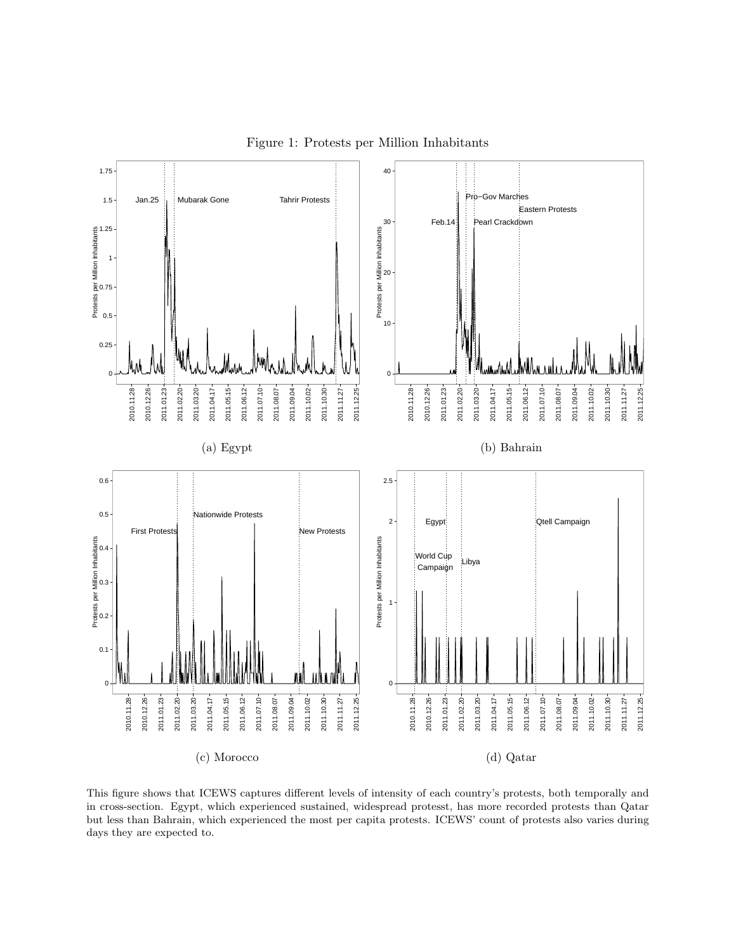

Figure 1: Protests per Million Inhabitants

This figure shows that ICEWS captures different levels of intensity of each country's protests, both temporally and in cross-section. Egypt, which experienced sustained, widespread protesst, has more recorded protests than Qatar but less than Bahrain, which experienced the most per capita protests. ICEWS' count of protests also varies during days they are expected to.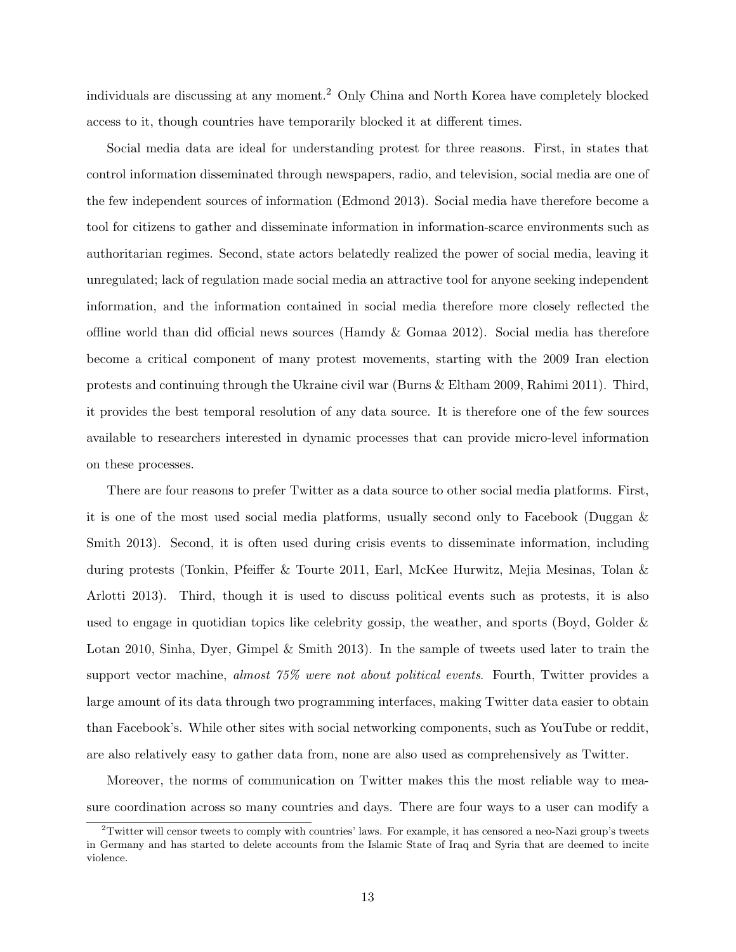individuals are discussing at any moment.<sup>2</sup> Only China and North Korea have completely blocked access to it, though countries have temporarily blocked it at different times.

Social media data are ideal for understanding protest for three reasons. First, in states that control information disseminated through newspapers, radio, and television, social media are one of the few independent sources of information (Edmond 2013). Social media have therefore become a tool for citizens to gather and disseminate information in information-scarce environments such as authoritarian regimes. Second, state actors belatedly realized the power of social media, leaving it unregulated; lack of regulation made social media an attractive tool for anyone seeking independent information, and the information contained in social media therefore more closely reflected the offline world than did official news sources (Hamdy & Gomaa 2012). Social media has therefore become a critical component of many protest movements, starting with the 2009 Iran election protests and continuing through the Ukraine civil war (Burns & Eltham 2009, Rahimi 2011). Third, it provides the best temporal resolution of any data source. It is therefore one of the few sources available to researchers interested in dynamic processes that can provide micro-level information on these processes.

There are four reasons to prefer Twitter as a data source to other social media platforms. First, it is one of the most used social media platforms, usually second only to Facebook (Duggan & Smith 2013). Second, it is often used during crisis events to disseminate information, including during protests (Tonkin, Pfeiffer & Tourte 2011, Earl, McKee Hurwitz, Mejia Mesinas, Tolan & Arlotti 2013). Third, though it is used to discuss political events such as protests, it is also used to engage in quotidian topics like celebrity gossip, the weather, and sports (Boyd, Golder & Lotan 2010, Sinha, Dyer, Gimpel & Smith 2013). In the sample of tweets used later to train the support vector machine, almost 75% were not about political events. Fourth, Twitter provides a large amount of its data through two programming interfaces, making Twitter data easier to obtain than Facebook's. While other sites with social networking components, such as YouTube or reddit, are also relatively easy to gather data from, none are also used as comprehensively as Twitter.

Moreover, the norms of communication on Twitter makes this the most reliable way to measure coordination across so many countries and days. There are four ways to a user can modify a

 $2$ Twitter will censor tweets to comply with countries' laws. For example, it has censored a neo-Nazi group's tweets in Germany and has started to delete accounts from the Islamic State of Iraq and Syria that are deemed to incite violence.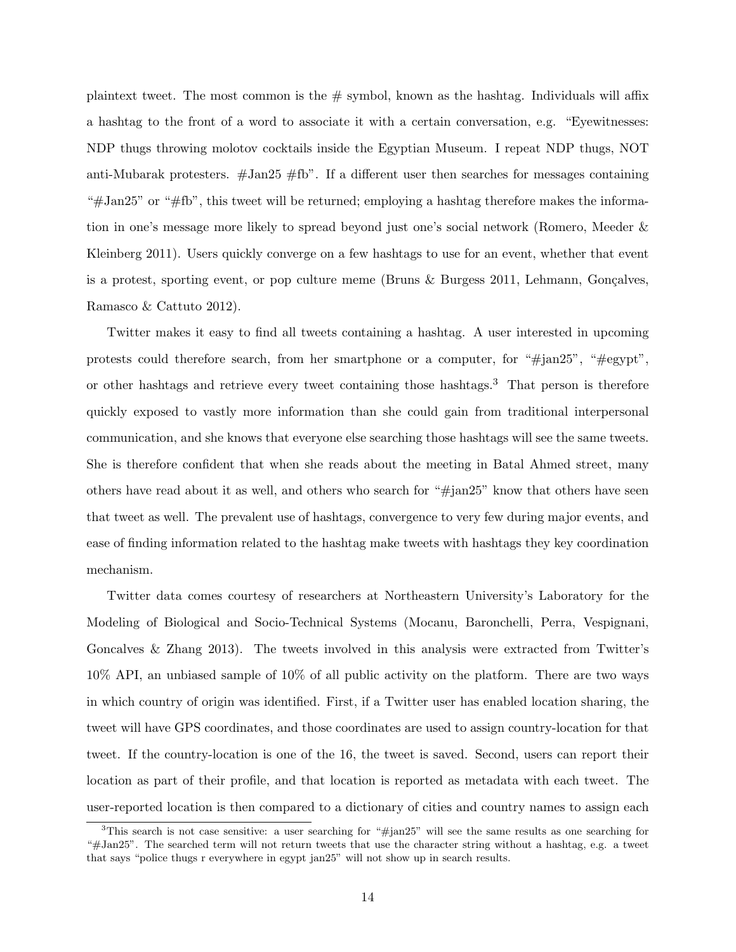plaintext tweet. The most common is the  $\#$  symbol, known as the hashtag. Individuals will affix a hashtag to the front of a word to associate it with a certain conversation, e.g. "Eyewitnesses: NDP thugs throwing molotov cocktails inside the Egyptian Museum. I repeat NDP thugs, NOT anti-Mubarak protesters.  $\# Jan25$   $\# fb$ ". If a different user then searches for messages containing "#Jan25" or "#fb", this tweet will be returned; employing a hashtag therefore makes the information in one's message more likely to spread beyond just one's social network (Romero, Meeder & Kleinberg 2011). Users quickly converge on a few hashtags to use for an event, whether that event is a protest, sporting event, or pop culture meme (Bruns  $\&$  Burgess 2011, Lehmann, Gonçalves, Ramasco & Cattuto 2012).

Twitter makes it easy to find all tweets containing a hashtag. A user interested in upcoming protests could therefore search, from her smartphone or a computer, for "#jan25", "#egypt", or other hashtags and retrieve every tweet containing those hashtags.<sup>3</sup> That person is therefore quickly exposed to vastly more information than she could gain from traditional interpersonal communication, and she knows that everyone else searching those hashtags will see the same tweets. She is therefore confident that when she reads about the meeting in Batal Ahmed street, many others have read about it as well, and others who search for "#jan25" know that others have seen that tweet as well. The prevalent use of hashtags, convergence to very few during major events, and ease of finding information related to the hashtag make tweets with hashtags they key coordination mechanism.

Twitter data comes courtesy of researchers at Northeastern University's Laboratory for the Modeling of Biological and Socio-Technical Systems (Mocanu, Baronchelli, Perra, Vespignani, Goncalves & Zhang 2013). The tweets involved in this analysis were extracted from Twitter's 10% API, an unbiased sample of 10% of all public activity on the platform. There are two ways in which country of origin was identified. First, if a Twitter user has enabled location sharing, the tweet will have GPS coordinates, and those coordinates are used to assign country-location for that tweet. If the country-location is one of the 16, the tweet is saved. Second, users can report their location as part of their profile, and that location is reported as metadata with each tweet. The user-reported location is then compared to a dictionary of cities and country names to assign each

<sup>3</sup>This search is not case sensitive: a user searching for "#jan25" will see the same results as one searching for "#Jan25". The searched term will not return tweets that use the character string without a hashtag, e.g. a tweet that says "police thugs r everywhere in egypt jan25" will not show up in search results.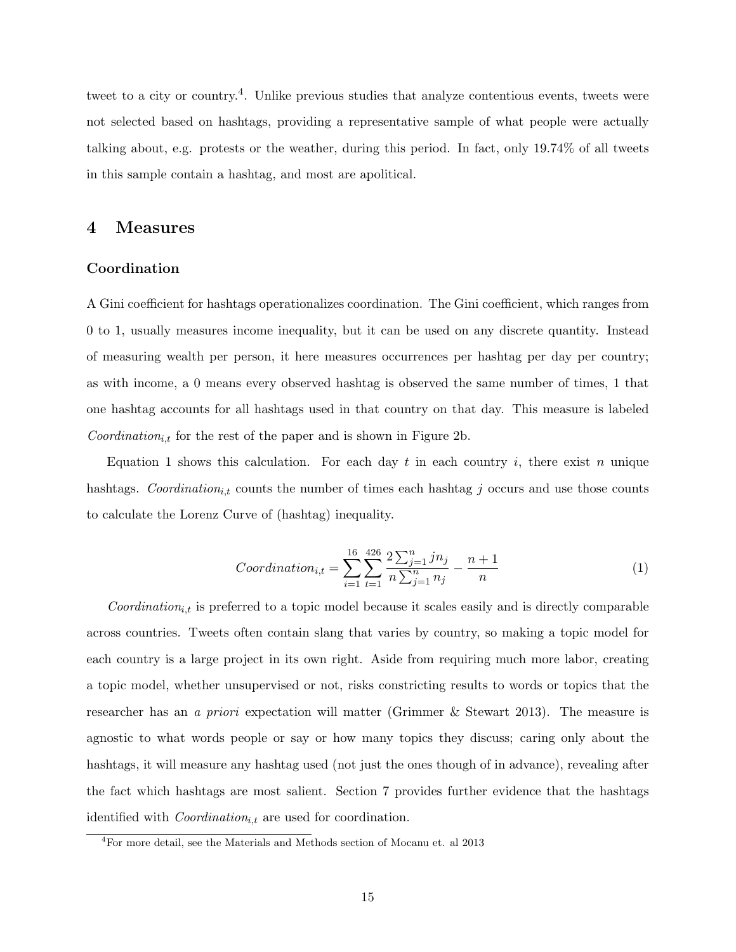tweet to a city or country.<sup>4</sup>. Unlike previous studies that analyze contentious events, tweets were not selected based on hashtags, providing a representative sample of what people were actually talking about, e.g. protests or the weather, during this period. In fact, only 19.74% of all tweets in this sample contain a hashtag, and most are apolitical.

### 4 Measures

#### Coordination

A Gini coefficient for hashtags operationalizes coordination. The Gini coefficient, which ranges from 0 to 1, usually measures income inequality, but it can be used on any discrete quantity. Instead of measuring wealth per person, it here measures occurrences per hashtag per day per country; as with income, a 0 means every observed hashtag is observed the same number of times, 1 that one hashtag accounts for all hashtags used in that country on that day. This measure is labeled Coordination<sub>i,t</sub> for the rest of the paper and is shown in Figure 2b.

Equation 1 shows this calculation. For each day t in each country i, there exist n unique hashtags. Coordination<sub>i,t</sub> counts the number of times each hashtag  $j$  occurs and use those counts to calculate the Lorenz Curve of (hashtag) inequality.

$$
Coordinate_{i,t} = \sum_{i=1}^{16} \sum_{t=1}^{426} \frac{2 \sum_{j=1}^{n} j n_j}{n \sum_{j=1}^{n} n_j} - \frac{n+1}{n}
$$
 (1)

 $Coordinate_{i,t}$  is preferred to a topic model because it scales easily and is directly comparable across countries. Tweets often contain slang that varies by country, so making a topic model for each country is a large project in its own right. Aside from requiring much more labor, creating a topic model, whether unsupervised or not, risks constricting results to words or topics that the researcher has an a priori expectation will matter (Grimmer & Stewart 2013). The measure is agnostic to what words people or say or how many topics they discuss; caring only about the hashtags, it will measure any hashtag used (not just the ones though of in advance), revealing after the fact which hashtags are most salient. Section 7 provides further evidence that the hashtags identified with  $Coordinate_{i,t}$  are used for coordination.

<sup>4</sup>For more detail, see the Materials and Methods section of Mocanu et. al 2013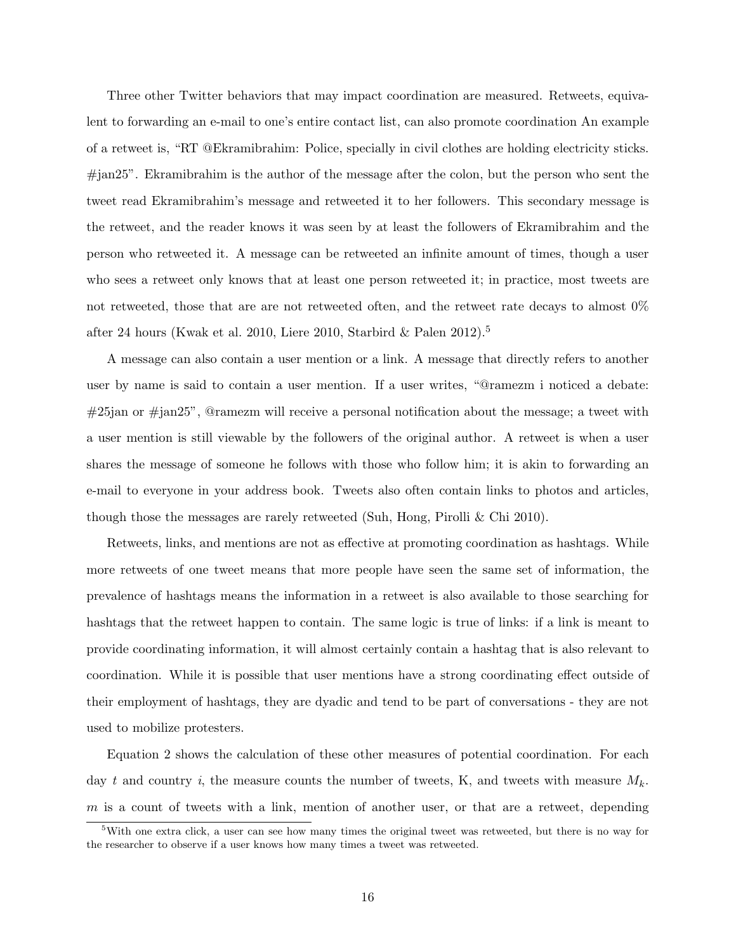Three other Twitter behaviors that may impact coordination are measured. Retweets, equivalent to forwarding an e-mail to one's entire contact list, can also promote coordination An example of a retweet is, "RT @Ekramibrahim: Police, specially in civil clothes are holding electricity sticks. #jan25". Ekramibrahim is the author of the message after the colon, but the person who sent the tweet read Ekramibrahim's message and retweeted it to her followers. This secondary message is the retweet, and the reader knows it was seen by at least the followers of Ekramibrahim and the person who retweeted it. A message can be retweeted an infinite amount of times, though a user who sees a retweet only knows that at least one person retweeted it; in practice, most tweets are not retweeted, those that are are not retweeted often, and the retweet rate decays to almost 0% after 24 hours (Kwak et al. 2010, Liere 2010, Starbird & Palen 2012).<sup>5</sup>

A message can also contain a user mention or a link. A message that directly refers to another user by name is said to contain a user mention. If a user writes, "@ramezm i noticed a debate:  $\#25$ jan or  $\#$ jan $25$ ", @ramezm will receive a personal notification about the message; a tweet with a user mention is still viewable by the followers of the original author. A retweet is when a user shares the message of someone he follows with those who follow him; it is akin to forwarding an e-mail to everyone in your address book. Tweets also often contain links to photos and articles, though those the messages are rarely retweeted (Suh, Hong, Pirolli & Chi 2010).

Retweets, links, and mentions are not as effective at promoting coordination as hashtags. While more retweets of one tweet means that more people have seen the same set of information, the prevalence of hashtags means the information in a retweet is also available to those searching for hashtags that the retweet happen to contain. The same logic is true of links: if a link is meant to provide coordinating information, it will almost certainly contain a hashtag that is also relevant to coordination. While it is possible that user mentions have a strong coordinating effect outside of their employment of hashtags, they are dyadic and tend to be part of conversations - they are not used to mobilize protesters.

Equation 2 shows the calculation of these other measures of potential coordination. For each day t and country i, the measure counts the number of tweets, K, and tweets with measure  $M_k$ .  $m$  is a count of tweets with a link, mention of another user, or that are a retweet, depending

<sup>5</sup>With one extra click, a user can see how many times the original tweet was retweeted, but there is no way for the researcher to observe if a user knows how many times a tweet was retweeted.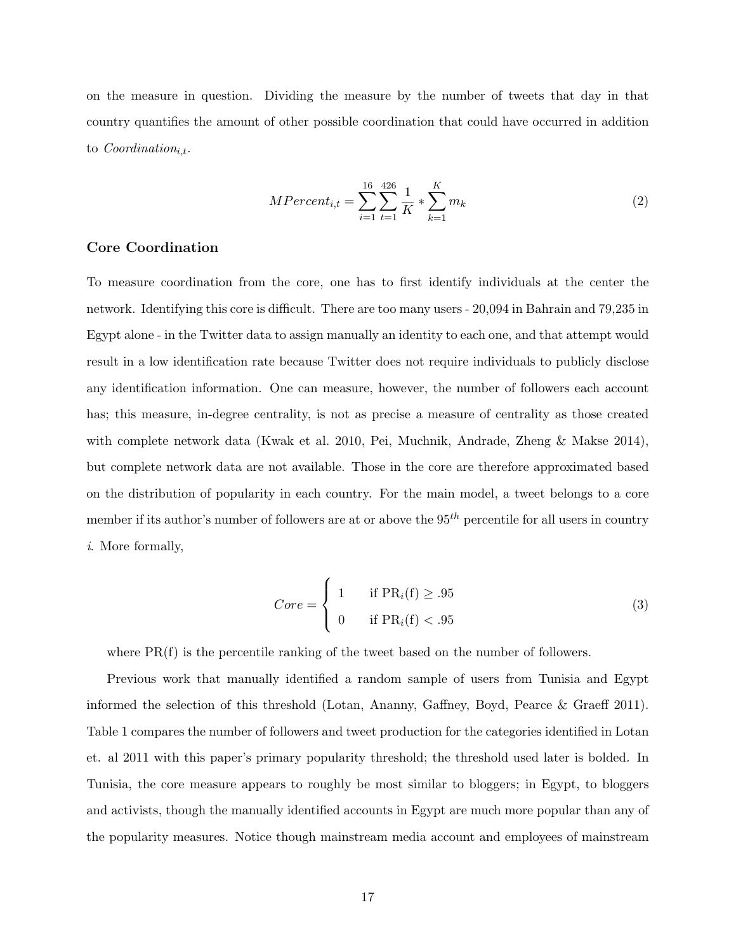on the measure in question. Dividing the measure by the number of tweets that day in that country quantifies the amount of other possible coordination that could have occurred in addition to *Coordination*<sub>i.t</sub>.

$$
MPercent_{i,t} = \sum_{i=1}^{16} \sum_{t=1}^{426} \frac{1}{K} * \sum_{k=1}^{K} m_k
$$
 (2)

#### Core Coordination

To measure coordination from the core, one has to first identify individuals at the center the network. Identifying this core is difficult. There are too many users - 20,094 in Bahrain and 79,235 in Egypt alone - in the Twitter data to assign manually an identity to each one, and that attempt would result in a low identification rate because Twitter does not require individuals to publicly disclose any identification information. One can measure, however, the number of followers each account has; this measure, in-degree centrality, is not as precise a measure of centrality as those created with complete network data (Kwak et al. 2010, Pei, Muchnik, Andrade, Zheng & Makse 2014), but complete network data are not available. Those in the core are therefore approximated based on the distribution of popularity in each country. For the main model, a tweet belongs to a core member if its author's number of followers are at or above the  $95<sup>th</sup>$  percentile for all users in country i. More formally,

$$
Core = \begin{cases} 1 & \text{if } PR_i(f) \ge .95 \\ 0 & \text{if } PR_i(f) < .95 \end{cases}
$$
 (3)

where  $PR(f)$  is the percentile ranking of the tweet based on the number of followers.

Previous work that manually identified a random sample of users from Tunisia and Egypt informed the selection of this threshold (Lotan, Ananny, Gaffney, Boyd, Pearce & Graeff 2011). Table 1 compares the number of followers and tweet production for the categories identified in Lotan et. al 2011 with this paper's primary popularity threshold; the threshold used later is bolded. In Tunisia, the core measure appears to roughly be most similar to bloggers; in Egypt, to bloggers and activists, though the manually identified accounts in Egypt are much more popular than any of the popularity measures. Notice though mainstream media account and employees of mainstream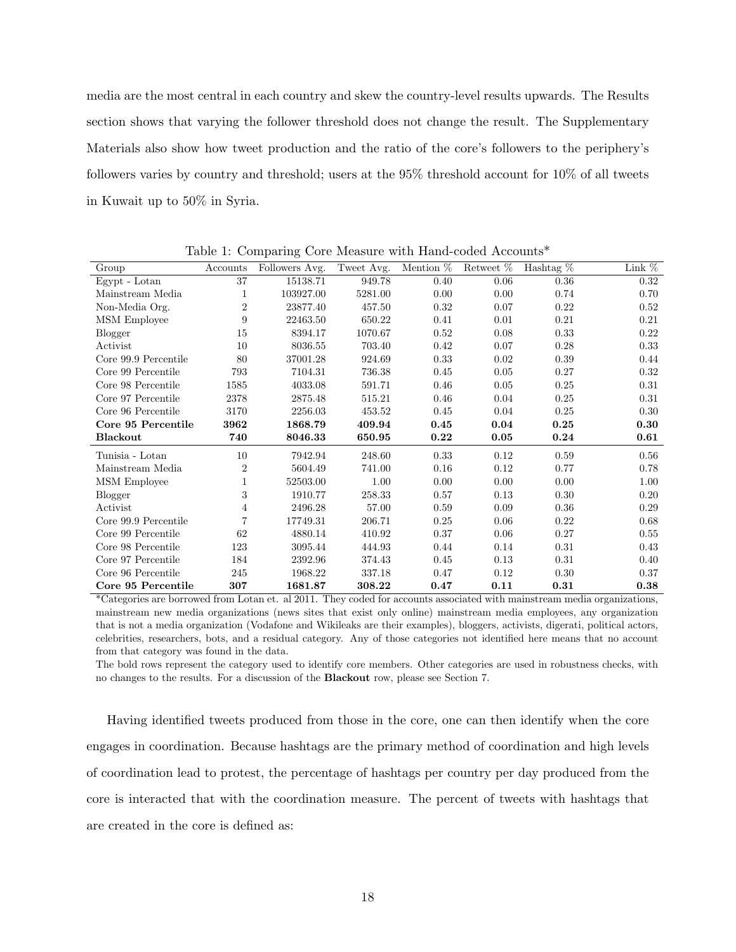media are the most central in each country and skew the country-level results upwards. The Results section shows that varying the follower threshold does not change the result. The Supplementary Materials also show how tweet production and the ratio of the core's followers to the periphery's followers varies by country and threshold; users at the 95% threshold account for 10% of all tweets in Kuwait up to 50% in Syria.

| Group                    | Accounts       | Followers Avg. | Tweet Avg. | Mention $%$ | Retweet % | Hashtag $%$ | Link $%$ |
|--------------------------|----------------|----------------|------------|-------------|-----------|-------------|----------|
| Egypt - Lotan            | 37             | 15138.71       | 949.78     | 0.40        | 0.06      | 0.36        | 0.32     |
| Mainstream Media         | 1              | 103927.00      | 5281.00    | 0.00        | 0.00      | 0.74        | 0.70     |
| Non-Media Org.           | $\overline{2}$ | 23877.40       | 457.50     | 0.32        | 0.07      | 0.22        | 0.52     |
| MSM Employee             | 9              | 22463.50       | 650.22     | 0.41        | 0.01      | 0.21        | 0.21     |
| Blogger                  | 15             | 8394.17        | 1070.67    | 0.52        | 0.08      | 0.33        | 0.22     |
| Activist                 | 10             | 8036.55        | 703.40     | 0.42        | 0.07      | 0.28        | 0.33     |
| Core 99.9 Percentile     | 80             | 37001.28       | 924.69     | 0.33        | 0.02      | 0.39        | 0.44     |
| Core 99 Percentile       | 793            | 7104.31        | 736.38     | 0.45        | 0.05      | 0.27        | 0.32     |
| Core 98 Percentile       | 1585           | 4033.08        | 591.71     | 0.46        | 0.05      | 0.25        | 0.31     |
| Core 97 Percentile       | 2378           | 2875.48        | 515.21     | 0.46        | 0.04      | 0.25        | 0.31     |
| Core 96 Percentile       | 3170           | 2256.03        | 453.52     | 0.45        | 0.04      | 0.25        | 0.30     |
| Core 95 Percentile       | 3962           | 1868.79        | 409.94     | 0.45        | 0.04      | 0.25        | 0.30     |
| <b>Blackout</b>          | 740            | 8046.33        | 650.95     | 0.22        | 0.05      | 0.24        | 0.61     |
| Tunisia - Lotan          | 10             | 7942.94        | 248.60     | 0.33        | 0.12      | 0.59        | 0.56     |
| Mainstream Media         | $\,2$          | 5604.49        | 741.00     | 0.16        | 0.12      | 0.77        | 0.78     |
| MSM Employee             | $\mathbf{1}$   | 52503.00       | 1.00       | 0.00        | 0.00      | 0.00        | 1.00     |
| $\operatorname{Blogger}$ | 3              | 1910.77        | 258.33     | 0.57        | 0.13      | 0.30        | 0.20     |
| Activist                 | $\overline{4}$ | 2496.28        | 57.00      | 0.59        | 0.09      | 0.36        | 0.29     |
| Core 99.9 Percentile     | $\overline{7}$ | 17749.31       | 206.71     | 0.25        | 0.06      | 0.22        | 0.68     |
| Core 99 Percentile       | 62             | 4880.14        | 410.92     | 0.37        | 0.06      | 0.27        | 0.55     |
| Core 98 Percentile       | 123            | 3095.44        | 444.93     | 0.44        | 0.14      | 0.31        | 0.43     |
| Core 97 Percentile       | 184            | 2392.96        | 374.43     | 0.45        | 0.13      | 0.31        | 0.40     |
| Core 96 Percentile       | 245            | 1968.22        | 337.18     | 0.47        | 0.12      | 0.30        | 0.37     |
| Core 95 Percentile       | 307            | 1681.87        | 308.22     | 0.47        | 0.11      | 0.31        | 0.38     |

Table 1: Comparing Core Measure with Hand-coded Accounts\*

\*Categories are borrowed from Lotan et. al 2011. They coded for accounts associated with mainstream media organizations, mainstream new media organizations (news sites that exist only online) mainstream media employees, any organization that is not a media organization (Vodafone and Wikileaks are their examples), bloggers, activists, digerati, political actors, celebrities, researchers, bots, and a residual category. Any of those categories not identified here means that no account from that category was found in the data.

The bold rows represent the category used to identify core members. Other categories are used in robustness checks, with no changes to the results. For a discussion of the Blackout row, please see Section 7.

Having identified tweets produced from those in the core, one can then identify when the core engages in coordination. Because hashtags are the primary method of coordination and high levels of coordination lead to protest, the percentage of hashtags per country per day produced from the core is interacted that with the coordination measure. The percent of tweets with hashtags that are created in the core is defined as: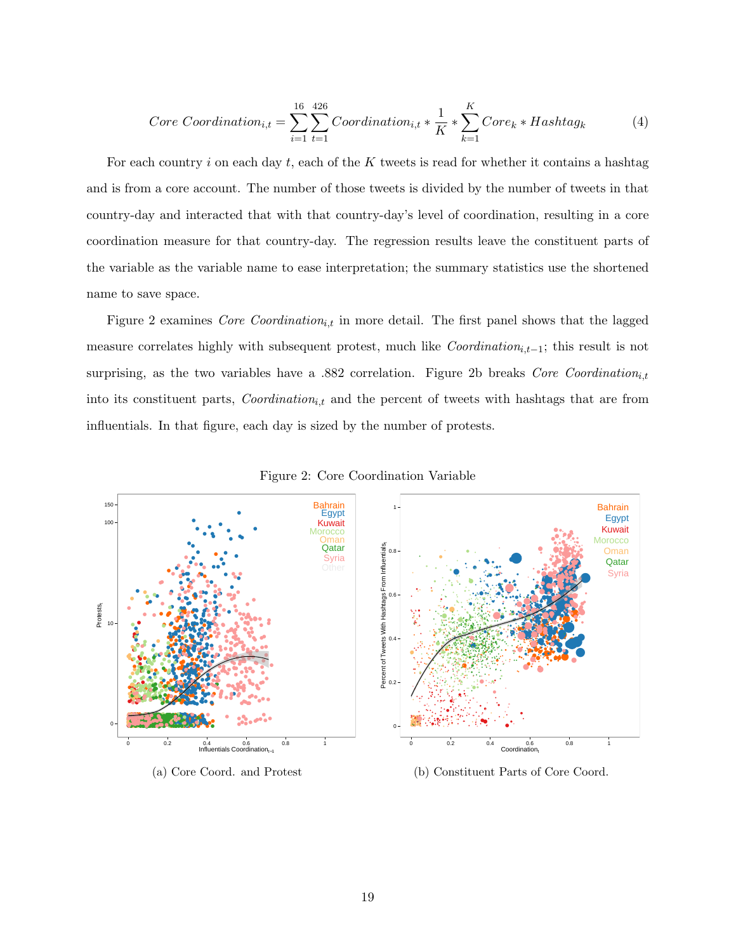$$
Core\;Coordinate_{i,t} = \sum_{i=1}^{16} \sum_{t=1}^{426} Coordination_{i,t} * \frac{1}{K} * \sum_{k=1}^{K} Core_k * Hashtag_k
$$
\n(4)

For each country  $i$  on each day  $t$ , each of the  $K$  tweets is read for whether it contains a hashtag and is from a core account. The number of those tweets is divided by the number of tweets in that country-day and interacted that with that country-day's level of coordination, resulting in a core coordination measure for that country-day. The regression results leave the constituent parts of the variable as the variable name to ease interpretation; the summary statistics use the shortened name to save space.

Figure 2 examines Core Coordination<sub>i,t</sub> in more detail. The first panel shows that the lagged measure correlates highly with subsequent protest, much like *Coordination*<sub>i,t-1</sub>; this result is not surprising, as the two variables have a .882 correlation. Figure 2b breaks Core Coordination<sub>i,t</sub> into its constituent parts, *Coordination*<sub>i,t</sub> and the percent of tweets with hashtags that are from influentials. In that figure, each day is sized by the number of protests.



Figure 2: Core Coordination Variable

(b) Constituent Parts of Core Coord.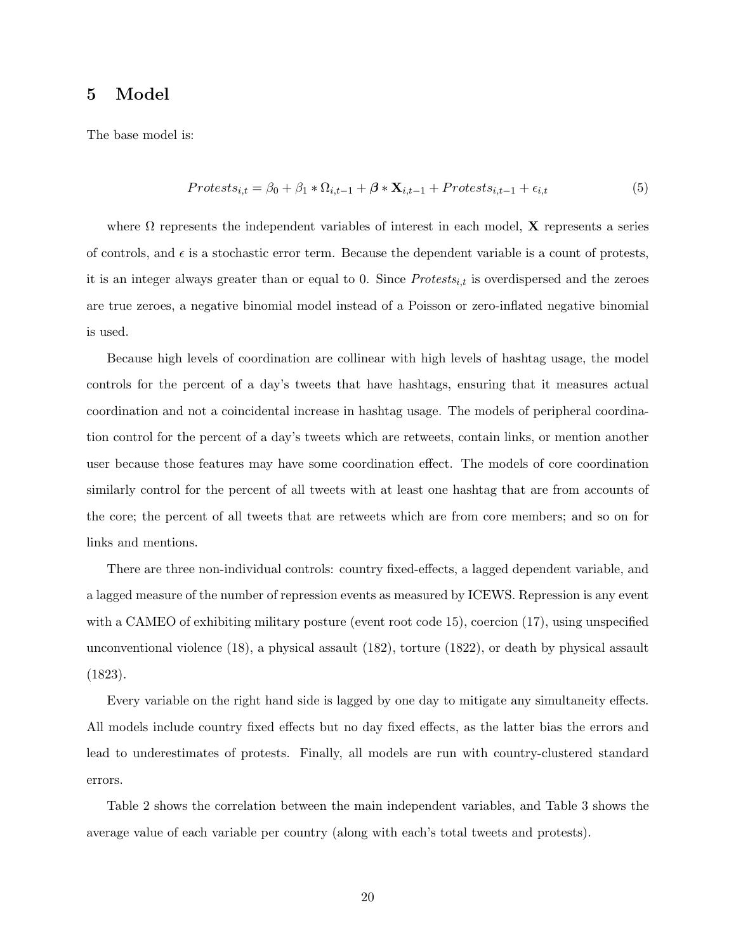# 5 Model

The base model is:

$$
Protests_{i,t} = \beta_0 + \beta_1 * \Omega_{i,t-1} + \beta * \mathbf{X}_{i,t-1} + Protests_{i,t-1} + \epsilon_{i,t}
$$
\n
$$
\tag{5}
$$

where  $\Omega$  represents the independent variables of interest in each model, **X** represents a series of controls, and  $\epsilon$  is a stochastic error term. Because the dependent variable is a count of protests, it is an integer always greater than or equal to 0. Since  $Protests_{i,t}$  is overdispersed and the zeroes are true zeroes, a negative binomial model instead of a Poisson or zero-inflated negative binomial is used.

Because high levels of coordination are collinear with high levels of hashtag usage, the model controls for the percent of a day's tweets that have hashtags, ensuring that it measures actual coordination and not a coincidental increase in hashtag usage. The models of peripheral coordination control for the percent of a day's tweets which are retweets, contain links, or mention another user because those features may have some coordination effect. The models of core coordination similarly control for the percent of all tweets with at least one hashtag that are from accounts of the core; the percent of all tweets that are retweets which are from core members; and so on for links and mentions.

There are three non-individual controls: country fixed-effects, a lagged dependent variable, and a lagged measure of the number of repression events as measured by ICEWS. Repression is any event with a CAMEO of exhibiting military posture (event root code 15), coercion (17), using unspecified unconventional violence (18), a physical assault (182), torture (1822), or death by physical assault (1823).

Every variable on the right hand side is lagged by one day to mitigate any simultaneity effects. All models include country fixed effects but no day fixed effects, as the latter bias the errors and lead to underestimates of protests. Finally, all models are run with country-clustered standard errors.

Table 2 shows the correlation between the main independent variables, and Table 3 shows the average value of each variable per country (along with each's total tweets and protests).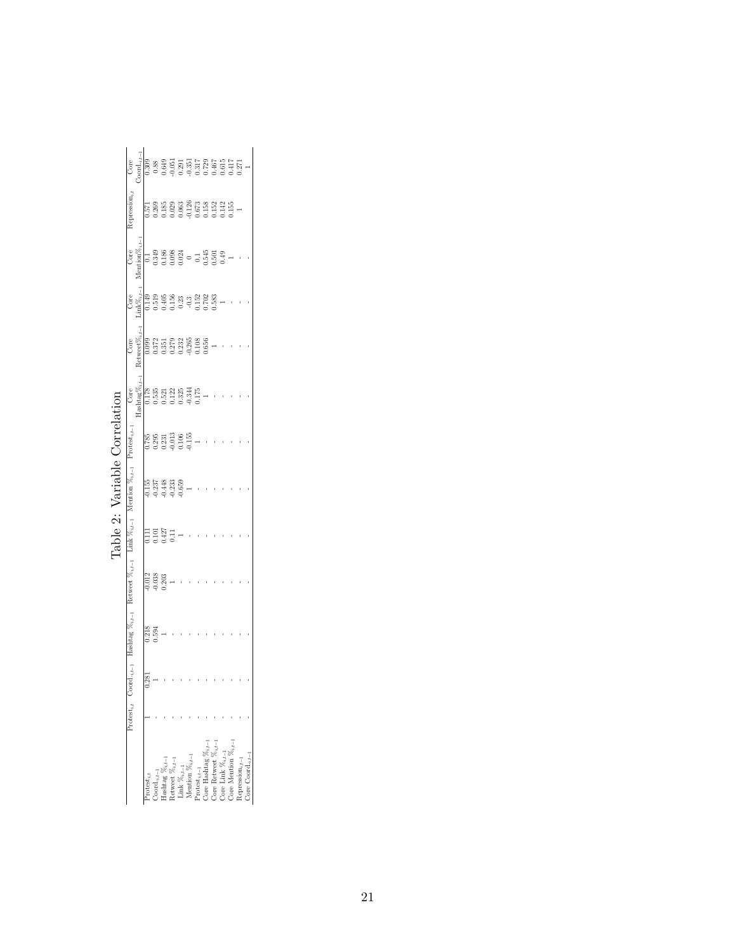| 0.012<br>$0.038$<br>$0.203$ | $Product_{i,t-1}$ Coord <sub><math>i,t-1</math></sub> Hashtag $\%_{i,t-1}$ Retweet $\%_{i,t-1}$ Link $\%_{i,t-1}$ Mention $\%_{i,t-1}$ Protest <sub>id-1</sub><br>0.218<br>0.594 | 日目<br>10127<br>0.013 | $0.37$<br>$0.48$<br>$0.53$<br>$0.59$<br>0.155 | 0.295<br>0.231<br>0.0106<br>0.155<br>0.785 | $\text{Hashtag} \%_{i,t-1}$<br>Core<br>0.178<br>0.535<br>0.521<br>0.122<br>0.334<br>0.341<br>0.1175 | Retweet <sup>9</sup> / <sub>0it-1</sub><br>Core<br>0.099<br>372<br>0.351<br>0.373<br>0.365<br>0.656 | Link $\%_{i,t-1}$<br>Core<br>0.149<br>0.152<br>0.702<br>0.583<br>0.5196<br>0.4156<br>0.513 | $M$ ention $\%$ <sub>i.t-1</sub><br>Core<br>$\Xi$ | $\operatorname{kepresson}_{i,t}$<br>0.571<br>0.269<br>0.185 | $\operatorname{Coord.}_{it-1}$<br>Core<br>$\frac{1}{0.309}$<br>$\begin{array}{c} 0.88 \\ 0.649 \\ 0.051 \\ 0.291 \\ 0.351 \\ 0.317 \\ 0.317 \\ 0.467 \\ 0.417 \\ 0.417 \\ 0.417 \\ \end{array}$ |
|-----------------------------|----------------------------------------------------------------------------------------------------------------------------------------------------------------------------------|----------------------|-----------------------------------------------|--------------------------------------------|-----------------------------------------------------------------------------------------------------|-----------------------------------------------------------------------------------------------------|--------------------------------------------------------------------------------------------|---------------------------------------------------|-------------------------------------------------------------|-------------------------------------------------------------------------------------------------------------------------------------------------------------------------------------------------|
|                             |                                                                                                                                                                                  |                      |                                               |                                            |                                                                                                     |                                                                                                     |                                                                                            |                                                   |                                                             |                                                                                                                                                                                                 |
|                             |                                                                                                                                                                                  |                      |                                               |                                            |                                                                                                     |                                                                                                     |                                                                                            |                                                   |                                                             | 0.271                                                                                                                                                                                           |
|                             |                                                                                                                                                                                  |                      |                                               |                                            |                                                                                                     |                                                                                                     |                                                                                            |                                                   |                                                             |                                                                                                                                                                                                 |

| <b>Porrelation</b> |  |
|--------------------|--|
| Variable           |  |
| ċi                 |  |
| lable<br>.<br>F    |  |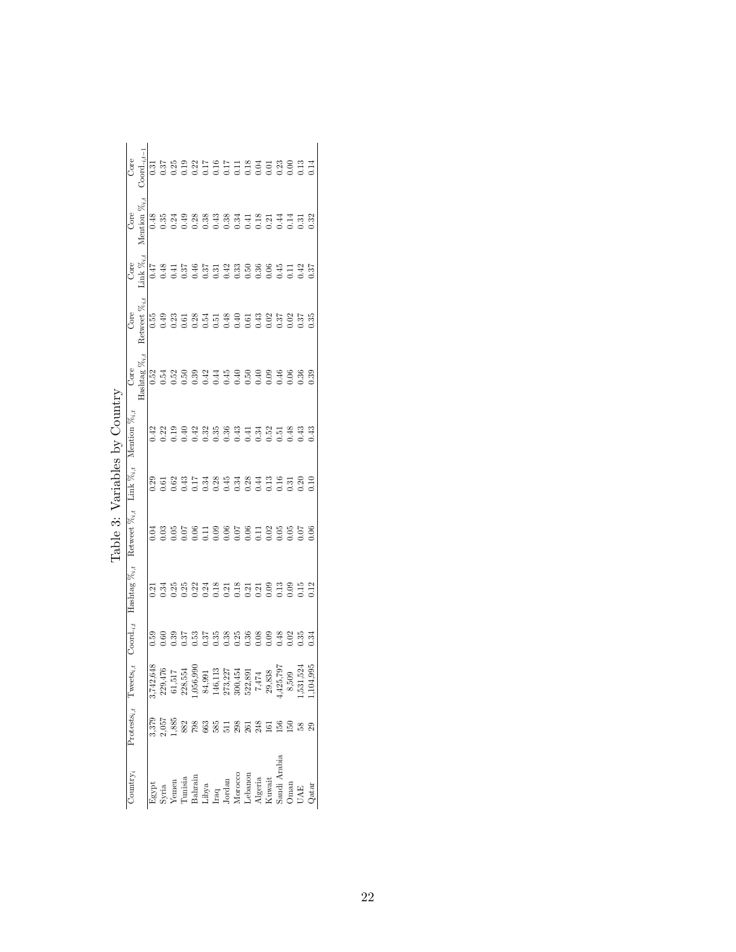|                               | Core                                                                               | $\text{Cond.}_{it-1}$ | 3.<br>0.31 | $0.37\,$ | $0.25$<br>$0.19$                                                                                                                                                                                                                                                                                                                                                                                          |      |      |                  |                                   |      |      |                      |                  | 35577283883                                                                                                                                                                                                                                                           |                          |             | 0.14  |
|-------------------------------|------------------------------------------------------------------------------------|-----------------------|------------|----------|-----------------------------------------------------------------------------------------------------------------------------------------------------------------------------------------------------------------------------------------------------------------------------------------------------------------------------------------------------------------------------------------------------------|------|------|------------------|-----------------------------------|------|------|----------------------|------------------|-----------------------------------------------------------------------------------------------------------------------------------------------------------------------------------------------------------------------------------------------------------------------|--------------------------|-------------|-------|
|                               | Core                                                                               | Mention $\%_{i,j}$    | 0.48       | 0.35     | 0.24                                                                                                                                                                                                                                                                                                                                                                                                      | 0.49 | 0.28 | 0.38             | 0.43                              | 0.38 |      | 0.34<br>0.41<br>0.18 | $0.21$<br>$0.44$ |                                                                                                                                                                                                                                                                       | 14                       | 0.31        | 0.32  |
|                               | Core                                                                               | Link $\%$             | 71.0       | 0.48     | $0.41$<br>$0.37$                                                                                                                                                                                                                                                                                                                                                                                          |      | 0.46 |                  |                                   |      |      |                      |                  | 577375888777                                                                                                                                                                                                                                                          |                          |             | 0.37  |
|                               | Core                                                                               | Retweet %;            | 0.55       | 0.49     | 0.23                                                                                                                                                                                                                                                                                                                                                                                                      |      | 0.28 | $0.54$<br>$0.51$ |                                   | 0.48 | 0.40 | $0.61$<br>$0.43$     | $0.02$<br>$0.37$ |                                                                                                                                                                                                                                                                       | 0.02                     | 0.37        | 0.35  |
|                               | Core                                                                               | Hashtag $\%_{i,i}$    | 0.52       | 0.54     | 0.52                                                                                                                                                                                                                                                                                                                                                                                                      | 0.50 | 0.39 | $0.42$<br>$0.44$ |                                   | 0.45 | 0.40 | $0.50$<br>$0.40$     | $0.09$<br>0.46   |                                                                                                                                                                                                                                                                       | 0.06                     | 0.36        | 0.39  |
|                               |                                                                                    |                       | 0.42       | 0.22     | 0.19<br>0.42<br>0.0                                                                                                                                                                                                                                                                                                                                                                                       |      |      |                  | 8<br>8 8 8 3 3 3 3<br>0 3 8 3 3 3 |      |      |                      |                  | $0.51$<br>$0.48$                                                                                                                                                                                                                                                      |                          | 0.43        | 0.43  |
|                               |                                                                                    |                       | 0.29       | 0.61     | $0.62$<br>$0.43$                                                                                                                                                                                                                                                                                                                                                                                          |      | 0.17 |                  | $0.389$<br>$0.45$                 |      | 0.34 | $0.28$<br>$0.44$     | 0.13             | $\begin{array}{c} 0.16 \\ 0.31 \end{array}$                                                                                                                                                                                                                           |                          | 0.20        | 0.10  |
| Table 3: Variables by Country | Retweet $\%_{i,t}$ Link $\%_{i,t}$ Mention $\%_{i,t}$                              |                       |            | 0.03     | 0.05                                                                                                                                                                                                                                                                                                                                                                                                      |      | 0.06 |                  | 1188581                           |      |      |                      |                  | 0.058                                                                                                                                                                                                                                                                 |                          | 0.07        | 0.06  |
|                               | Protests <sub>it</sub> Tweets <sub>it</sub> Coord <sub>it</sub> Hashtag $\%_{i,t}$ |                       |            | 0.34     |                                                                                                                                                                                                                                                                                                                                                                                                           |      |      |                  |                                   |      |      |                      |                  | 8883398358399<br>6383398355899                                                                                                                                                                                                                                        |                          | 0.15        | 0.12  |
|                               |                                                                                    |                       | 0.59       | 0.60     | 0.37                                                                                                                                                                                                                                                                                                                                                                                                      |      | 0.53 | $0.37$<br>0.35   |                                   | 0.38 | 0.25 | $0.36$<br>$0.08$     | 0.09             | 0.48                                                                                                                                                                                                                                                                  |                          | 0.35        | 0.34  |
|                               |                                                                                    |                       |            |          |                                                                                                                                                                                                                                                                                                                                                                                                           |      |      |                  |                                   |      |      |                      |                  | $\begin{array}{l} 3,742,648\\229,476\\21,517\\1,1517\\1,656,991\\1,68,991\\146,113\\273,227\\273,227\\522,891\\522,891\\524,425,787\\8,509\\8,509\\8,509\\8,509\\8,509\\8,509\\8,509\\8,509\\8,509\\8,509\\8,509\\8,509\\8,509\\8,509\\8,509\\8,509\\8,509\\8,509\\8$ |                          | 524<br>,531 | 0.95  |
|                               |                                                                                    |                       |            |          |                                                                                                                                                                                                                                                                                                                                                                                                           |      |      |                  |                                   |      |      |                      | $161\,$          | 156                                                                                                                                                                                                                                                                   | 150                      |             |       |
|                               | bountry,                                                                           |                       |            |          | $\begin{tabular}{l} Egrpt \\ Syma \\ Nema \\ Paman \\ Dham & \textbf{1} \\ Dham & \textbf{1} \\ Dham & \textbf{1} \\ Dag \\ Mence \\ Mence \\ Mence \\ Mence \\ Mence \\ Mence \\ Mence \\ Mend \\ Mend \\ Rhabia \\ \textbf{5} \\ Sandi \\ Anabia \\ Sandi \\ Anabia \\ Sandi \\ Anabia \\ Sandi \\ Arabia \\ Sandi \\ Arabia \\ Sandi \\ Arabia \\ Sandi \\ Arabia \\ Sandi \\ Arabia \\ \end{tabular}$ |      |      |                  |                                   |      |      |                      |                  |                                                                                                                                                                                                                                                                       | $_{\rm UAE}^{\rm{onan}}$ |             | Qatar |

| Country          | י<br>י               |
|------------------|----------------------|
|                  |                      |
| . Variables by ' | $\ddot{\phantom{a}}$ |
|                  | i                    |
| Table 3:         |                      |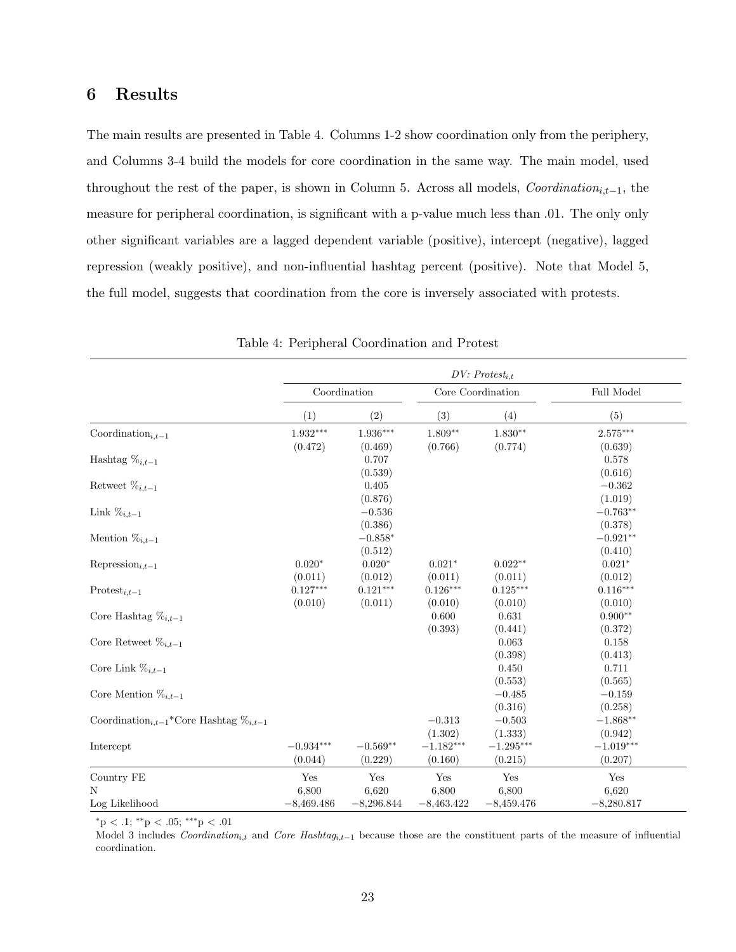# 6 Results

The main results are presented in Table 4. Columns 1-2 show coordination only from the periphery, and Columns 3-4 build the models for core coordination in the same way. The main model, used throughout the rest of the paper, is shown in Column 5. Across all models,  $Coordinate_{i,t-1}$ , the measure for peripheral coordination, is significant with a p-value much less than .01. The only only other significant variables are a lagged dependent variable (positive), intercept (negative), lagged repression (weakly positive), and non-influential hashtag percent (positive). Note that Model 5, the full model, suggests that coordination from the core is inversely associated with protests.

|                                                          |              |              |              | $DV: Protest_{i.t}$ |              |
|----------------------------------------------------------|--------------|--------------|--------------|---------------------|--------------|
|                                                          |              | Coordination |              | Core Coordination   | Full Model   |
|                                                          | (1)          | (2)          | (3)          | (4)                 | (5)          |
| Coordination <sub>i,t-1</sub>                            | $1.932***$   | $1.936***$   | $1.809**$    | $1.830**$           | $2.575***$   |
|                                                          | (0.472)      | (0.469)      | (0.766)      | (0.774)             | (0.639)      |
| Hashtag $\%_{i,t-1}$                                     |              | 0.707        |              |                     | 0.578        |
|                                                          |              | (0.539)      |              |                     | (0.616)      |
| Retweet $\%_{i,t-1}$                                     |              | 0.405        |              |                     | $-0.362$     |
|                                                          |              | (0.876)      |              |                     | (1.019)      |
| Link $\%_{i,t-1}$                                        |              | $-0.536$     |              |                     | $-0.763**$   |
|                                                          |              | (0.386)      |              |                     | (0.378)      |
| Mention $\%_{i,t-1}$                                     |              | $-0.858*$    |              |                     | $-0.921**$   |
|                                                          |              | (0.512)      |              |                     | (0.410)      |
| $Repression_{i,t-1}$                                     | $0.020*$     | $0.020*$     | $0.021*$     | $0.022**$           | $0.021*$     |
|                                                          | (0.011)      | (0.012)      | (0.011)      | (0.011)             | (0.012)      |
| $Protest_{i,t-1}$                                        | $0.127***$   | $0.121***$   | $0.126***$   | $0.125***$          | $0.116***$   |
|                                                          | (0.010)      | (0.011)      | (0.010)      | (0.010)             | (0.010)      |
| Core Hashtag $\%_{i,t-1}$                                |              |              | 0.600        | 0.631               | $0.900**$    |
|                                                          |              |              | (0.393)      | (0.441)             | (0.372)      |
| Core Retweet $\%_{i,t-1}$                                |              |              |              | 0.063               | 0.158        |
|                                                          |              |              |              | (0.398)             | (0.413)      |
| Core Link $\%_{i,t-1}$                                   |              |              |              | 0.450               | 0.711        |
|                                                          |              |              |              | (0.553)             | (0.565)      |
| Core Mention $\%_{i,t-1}$                                |              |              |              | $-0.485$            | $-0.159$     |
|                                                          |              |              |              | (0.316)             | (0.258)      |
| Coordination <sub>i,t-1</sub> *Core Hashtag $\%_{i,t-1}$ |              |              | $-0.313$     | $-0.503$            | $-1.868**$   |
|                                                          |              |              | (1.302)      | (1.333)             | (0.942)      |
| Intercept                                                | $-0.934***$  | $-0.569**$   | $-1.182***$  | $-1.295***$         | $-1.019***$  |
|                                                          | (0.044)      | (0.229)      | (0.160)      | (0.215)             | (0.207)      |
|                                                          | Yes          |              | Yes          | Yes                 |              |
| Country FE<br>N                                          | 6,800        | Yes<br>6,620 |              |                     | Yes          |
|                                                          |              |              | 6,800        | 6,800               | 6,620        |
| Log Likelihood                                           | $-8,469.486$ | $-8,296.844$ | $-8,463.422$ | $-8,459.476$        | $-8,280.817$ |

|  |  | Table 4: Peripheral Coordination and Protest |  |
|--|--|----------------------------------------------|--|
|--|--|----------------------------------------------|--|

 $*$ p < .1;  $*$ <sup>\*</sup>p < .05;  $*$ <sup>\*</sup>\*p < .01

Model 3 includes  $Coordinate_{i,t}$  and Core Hashtag<sub>i,t−1</sub> because those are the constituent parts of the measure of influential coordination.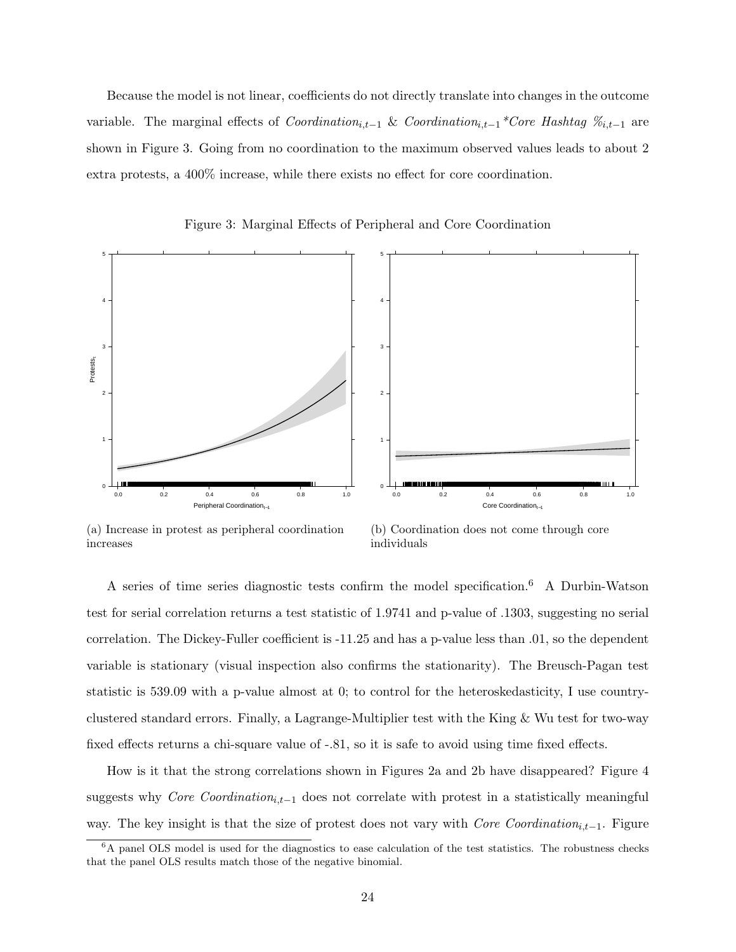Because the model is not linear, coefficients do not directly translate into changes in the outcome variable. The marginal effects of *Coordination*<sub>i,t−1</sub> & *Coordination*<sub>i,t−1</sub> \**Core Hashtag*  $\mathcal{C}_{i,t-1}$  are shown in Figure 3. Going from no coordination to the maximum observed values leads to about 2 extra protests, a 400% increase, while there exists no effect for core coordination.



Figure 3: Marginal Effects of Peripheral and Core Coordination

(a) Increase in protest as peripheral coordination increases

(b) Coordination does not come through core individuals

A series of time series diagnostic tests confirm the model specification.<sup>6</sup> A Durbin-Watson test for serial correlation returns a test statistic of 1.9741 and p-value of .1303, suggesting no serial correlation. The Dickey-Fuller coefficient is -11.25 and has a p-value less than .01, so the dependent variable is stationary (visual inspection also confirms the stationarity). The Breusch-Pagan test statistic is 539.09 with a p-value almost at 0; to control for the heteroskedasticity, I use countryclustered standard errors. Finally, a Lagrange-Multiplier test with the King & Wu test for two-way fixed effects returns a chi-square value of -.81, so it is safe to avoid using time fixed effects.

How is it that the strong correlations shown in Figures 2a and 2b have disappeared? Figure 4 suggests why *Core Coordination*<sub>i,t−1</sub> does not correlate with protest in a statistically meaningful way. The key insight is that the size of protest does not vary with Core Coordination<sub>i,t−1</sub>. Figure

 ${}^{6}A$  panel OLS model is used for the diagnostics to ease calculation of the test statistics. The robustness checks that the panel OLS results match those of the negative binomial.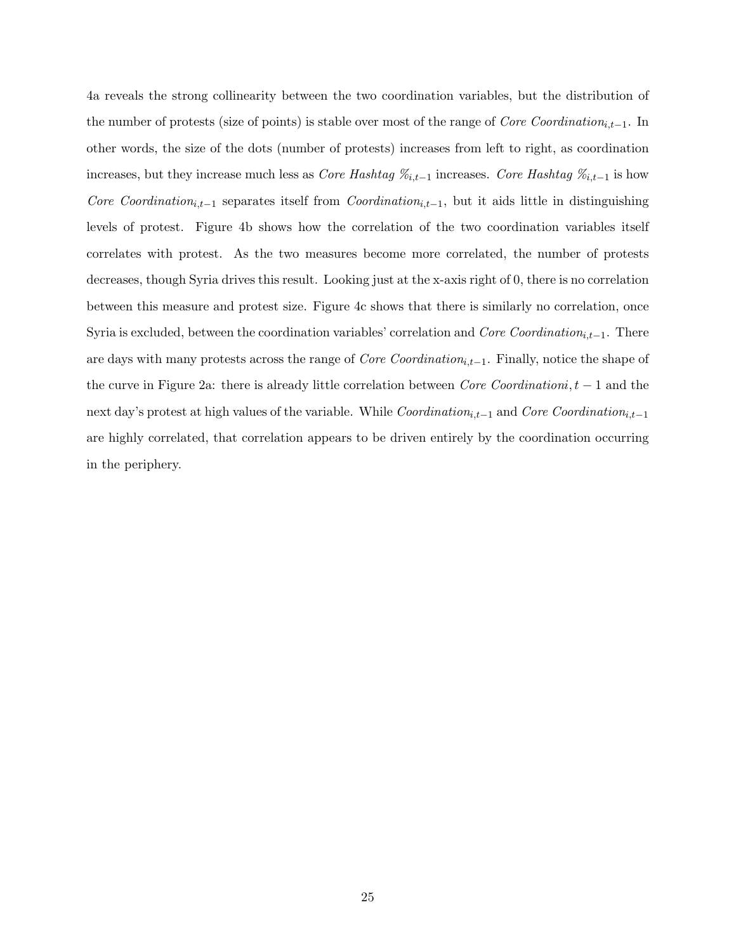4a reveals the strong collinearity between the two coordination variables, but the distribution of the number of protests (size of points) is stable over most of the range of Core Coordination<sub>i,t−1</sub>. In other words, the size of the dots (number of protests) increases from left to right, as coordination increases, but they increase much less as Core Hashtag  $\mathcal{C}_{i,t-1}$  increases. Core Hashtag  $\mathcal{C}_{i,t-1}$  is how Core Coordination<sub>i,t−1</sub> separates itself from Coordination<sub>i,t−1</sub>, but it aids little in distinguishing levels of protest. Figure 4b shows how the correlation of the two coordination variables itself correlates with protest. As the two measures become more correlated, the number of protests decreases, though Syria drives this result. Looking just at the x-axis right of 0, there is no correlation between this measure and protest size. Figure 4c shows that there is similarly no correlation, once Syria is excluded, between the coordination variables' correlation and Core Coordination<sub>i,t−1</sub>. There are days with many protests across the range of *Core Coordination*<sub>i,t−1</sub>. Finally, notice the shape of the curve in Figure 2a: there is already little correlation between Core Coordinationi,  $t - 1$  and the next day's protest at high values of the variable. While  $Coordinate_{i,t-1}$  and Core Coordination<sub>i,t−1</sub> are highly correlated, that correlation appears to be driven entirely by the coordination occurring in the periphery.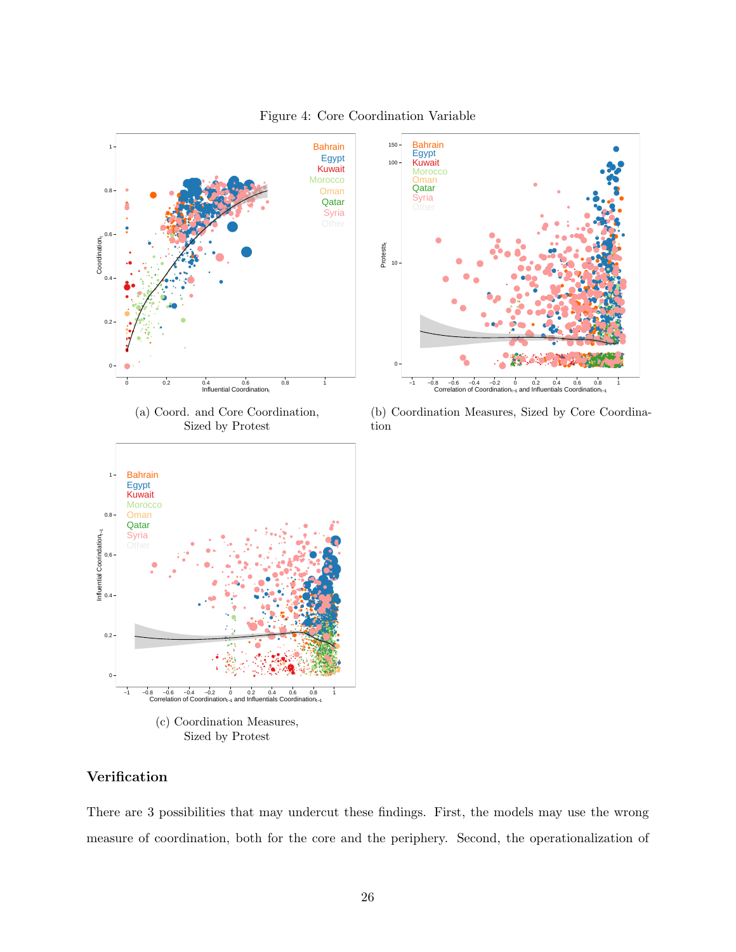

#### Figure 4: Core Coordination Variable

150

10

Protests<sub>t</sub>

Bahrain<br>Egypt<br>Kuwait<br>Morocco

Qatar

Syria

-0.8 -0.6 -0.4 -0.2<br>Correlation of Coordination

0.4<br>tials C  $0.6$  $0.8$ 

 $\dot{o}$ o.2<br>and Influe

# Verification

There are 3 possibilities that may undercut these findings. First, the models may use the wrong measure of coordination, both for the core and the periphery. Second, the operationalization of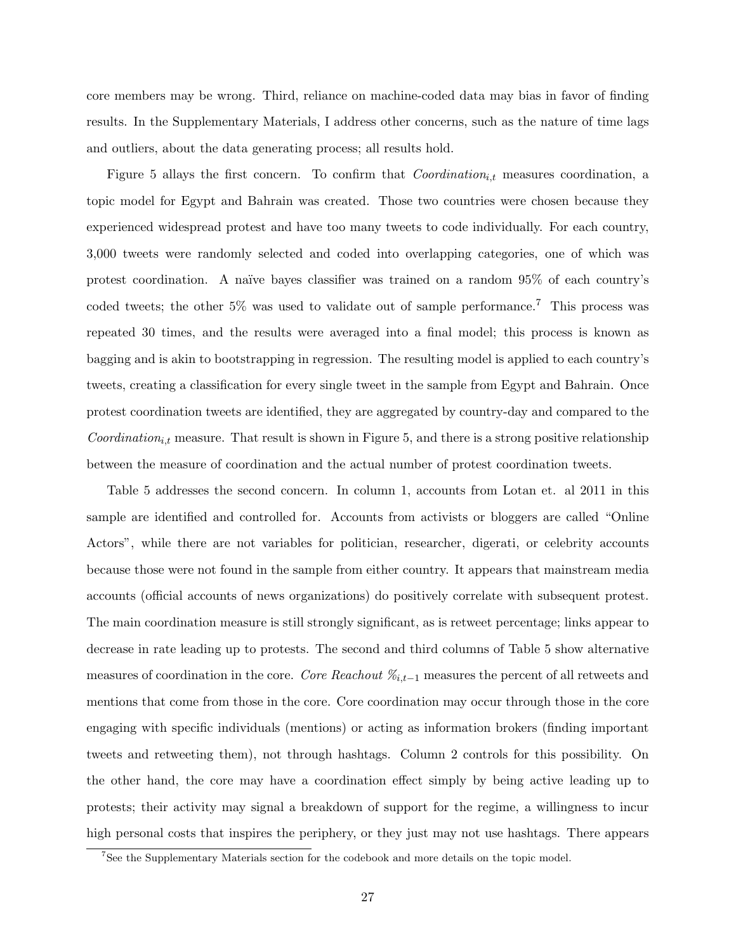core members may be wrong. Third, reliance on machine-coded data may bias in favor of finding results. In the Supplementary Materials, I address other concerns, such as the nature of time lags and outliers, about the data generating process; all results hold.

Figure 5 allays the first concern. To confirm that  $Coordinate_{i,t}$  measures coordination, a topic model for Egypt and Bahrain was created. Those two countries were chosen because they experienced widespread protest and have too many tweets to code individually. For each country, 3,000 tweets were randomly selected and coded into overlapping categories, one of which was protest coordination. A naïve bayes classifier was trained on a random 95% of each country's coded tweets; the other  $5\%$  was used to validate out of sample performance.<sup>7</sup> This process was repeated 30 times, and the results were averaged into a final model; this process is known as bagging and is akin to bootstrapping in regression. The resulting model is applied to each country's tweets, creating a classification for every single tweet in the sample from Egypt and Bahrain. Once protest coordination tweets are identified, they are aggregated by country-day and compared to the Coordination<sub>i,t</sub> measure. That result is shown in Figure 5, and there is a strong positive relationship between the measure of coordination and the actual number of protest coordination tweets.

Table 5 addresses the second concern. In column 1, accounts from Lotan et. al 2011 in this sample are identified and controlled for. Accounts from activists or bloggers are called "Online Actors", while there are not variables for politician, researcher, digerati, or celebrity accounts because those were not found in the sample from either country. It appears that mainstream media accounts (official accounts of news organizations) do positively correlate with subsequent protest. The main coordination measure is still strongly significant, as is retweet percentage; links appear to decrease in rate leading up to protests. The second and third columns of Table 5 show alternative measures of coordination in the core. Core Reachout  $\mathcal{C}_{i,t-1}$  measures the percent of all retweets and mentions that come from those in the core. Core coordination may occur through those in the core engaging with specific individuals (mentions) or acting as information brokers (finding important tweets and retweeting them), not through hashtags. Column 2 controls for this possibility. On the other hand, the core may have a coordination effect simply by being active leading up to protests; their activity may signal a breakdown of support for the regime, a willingness to incur high personal costs that inspires the periphery, or they just may not use hashtags. There appears

<sup>7</sup>See the Supplementary Materials section for the codebook and more details on the topic model.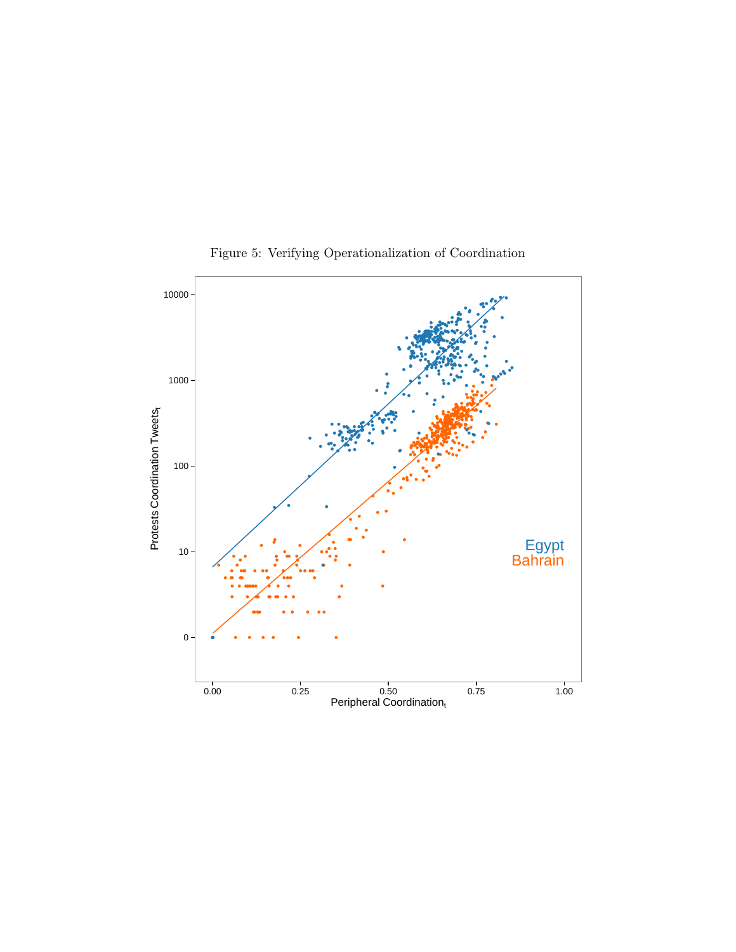

Figure 5: Verifying Operationalization of Coordination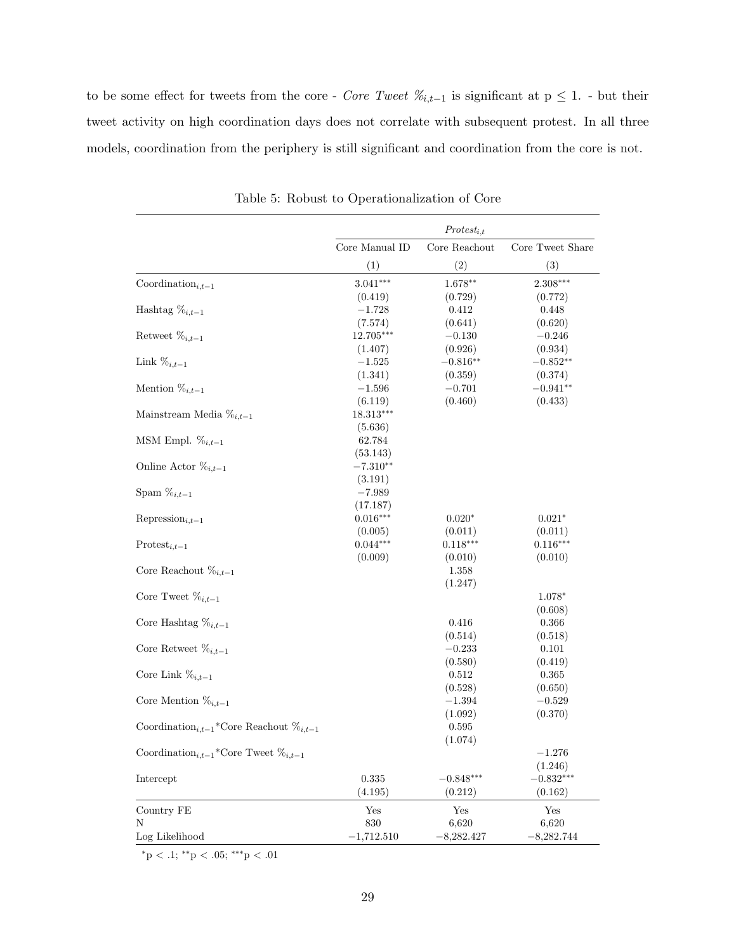to be some effect for tweets from the core - Core Tweet  $\mathcal{C}_{i,t-1}$  is significant at p ≤ 1. - but their tweet activity on high coordination days does not correlate with subsequent protest. In all three models, coordination from the periphery is still significant and coordination from the core is not.

|                                                           |                       | $Protest_{i.t}$       |                       |
|-----------------------------------------------------------|-----------------------|-----------------------|-----------------------|
|                                                           | Core Manual ID        | Core Reachout         | Core Tweet Share      |
|                                                           | (1)                   | (2)                   | (3)                   |
| Coordination <sub>i.t-1</sub>                             | $3.041***$            | $1.678**$             | $2.308***$            |
|                                                           | (0.419)               | (0.729)               | (0.772)               |
| Hashtag $\%_{i,t-1}$                                      | $-1.728$              | 0.412                 | 0.448                 |
|                                                           | (7.574)               | (0.641)               | (0.620)               |
| Retweet $\%_{i,t-1}$                                      | 12.705***             | $-0.130$              | $-0.246$              |
| Link $\%_{i,t-1}$                                         | (1.407)<br>$-1.525$   | (0.926)<br>$-0.816**$ | (0.934)<br>$-0.852**$ |
|                                                           | (1.341)               | (0.359)               | (0.374)               |
| Mention $\%_{i,t-1}$                                      | $-1.596$              | $-0.701$              | $-0.941**$            |
|                                                           | (6.119)               | (0.460)               | (0.433)               |
| Mainstream Media $\%_{i,t-1}$                             | $18.313***$           |                       |                       |
|                                                           | (5.636)               |                       |                       |
| MSM Empl. $\%_{i,t-1}$                                    | 62.784                |                       |                       |
|                                                           | (53.143)              |                       |                       |
| Online Actor $\%_{i,t-1}$                                 | $-7.310**$            |                       |                       |
|                                                           | (3.191)               |                       |                       |
| Spam $\%_{i,t-1}$                                         | $-7.989$              |                       |                       |
|                                                           | (17.187)              |                       |                       |
| Repression <sub>i,t-1</sub>                               | $0.016***$            | $0.020*$              | $0.021*$              |
|                                                           | (0.005)<br>$0.044***$ | (0.011)<br>$0.118***$ | (0.011)<br>$0.116***$ |
| $Protest_{i,t-1}$                                         | (0.009)               | (0.010)               | (0.010)               |
| Core Reachout $\%_{i,t-1}$                                |                       | 1.358                 |                       |
|                                                           |                       | (1.247)               |                       |
| Core Tweet $\%_{i,t-1}$                                   |                       |                       | 1.078*                |
|                                                           |                       |                       | (0.608)               |
| Core Hashtag $\%_{i,t-1}$                                 |                       | 0.416                 | 0.366                 |
|                                                           |                       | (0.514)               | (0.518)               |
| Core Retweet $\%_{i,t-1}$                                 |                       | $-0.233$              | 0.101                 |
|                                                           |                       | (0.580)               | (0.419)               |
| Core Link $\%_{i,t-1}$                                    |                       | 0.512                 | 0.365                 |
|                                                           |                       | (0.528)               | (0.650)               |
| Core Mention $\%_{i,t-1}$                                 |                       | $-1.394$              | $-0.529$              |
|                                                           |                       | (1.092)               | (0.370)               |
| Coordination <sub>i.t-1</sub> *Core Reachout $\%_{i,t-1}$ |                       | 0.595                 |                       |
| Coordination <sub>i,t-1</sub> *Core Tweet $\%_{i,t-1}$    |                       | (1.074)               | $-1.276$              |
|                                                           |                       |                       | (1.246)               |
| Intercept                                                 | 0.335                 | $-0.848***$           | $-0.832***$           |
|                                                           | (4.195)               | (0.212)               | (0.162)               |
| Country FE                                                | Yes                   | Yes                   | Yes                   |
| Ν                                                         | 830                   | 6,620                 | 6,620                 |
| Log Likelihood                                            | $-1,712.510$          | $-8,282.427$          | $-8,282.744$          |

Table 5: Robust to Operationalization of Core

 $*_{p} < .1; *_{p} < .05; **_{p} < .01$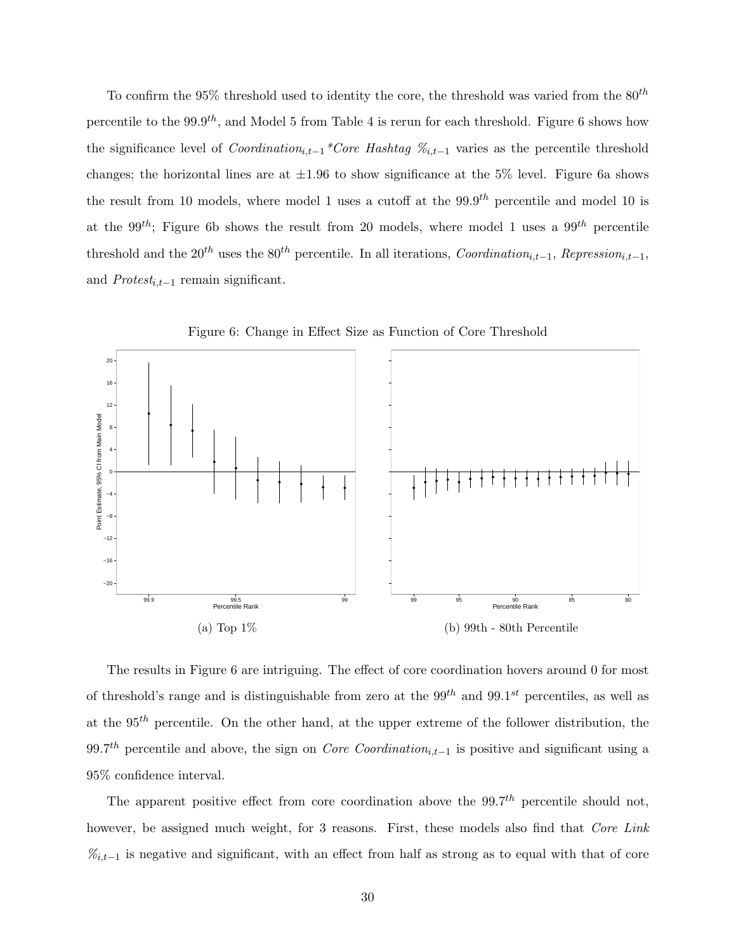To confirm the 95% threshold used to identity the core, the threshold was varied from the  $80^{th}$ percentile to the  $99.9^{th}$ , and Model 5 from Table 4 is rerun for each threshold. Figure 6 shows how the significance level of *Coordination*<sub>i,t−1</sub> \**Core Hashtag*  $\mathcal{C}_{i,t-1}$  varies as the percentile threshold changes; the horizontal lines are at  $\pm 1.96$  to show significance at the 5% level. Figure 6a shows the result from 10 models, where model 1 uses a cutoff at the  $99.9^{th}$  percentile and model 10 is at the 99<sup>th</sup>; Figure 6b shows the result from 20 models, where model 1 uses a 99<sup>th</sup> percentile threshold and the 20<sup>th</sup> uses the 80<sup>th</sup> percentile. In all iterations, Coordination<sub>i,t−1</sub>, Repression<sub>i,t−1</sub>, and  $Protest_{i,t-1}$  remain significant.



Figure 6: Change in Effect Size as Function of Core Threshold

The results in Figure 6 are intriguing. The effect of core coordination hovers around 0 for most of threshold's range and is distinguishable from zero at the  $99^{th}$  and  $99.1^{st}$  percentiles, as well as at the  $95<sup>th</sup>$  percentile. On the other hand, at the upper extreme of the follower distribution, the 99.7<sup>th</sup> percentile and above, the sign on Core Coordination<sub>i,t−1</sub> is positive and significant using a 95% confidence interval.

The apparent positive effect from core coordination above the  $99.7<sup>th</sup>$  percentile should not, however, be assigned much weight, for 3 reasons. First, these models also find that Core Link  $\mathcal{K}_{i,t-1}$  is negative and significant, with an effect from half as strong as to equal with that of core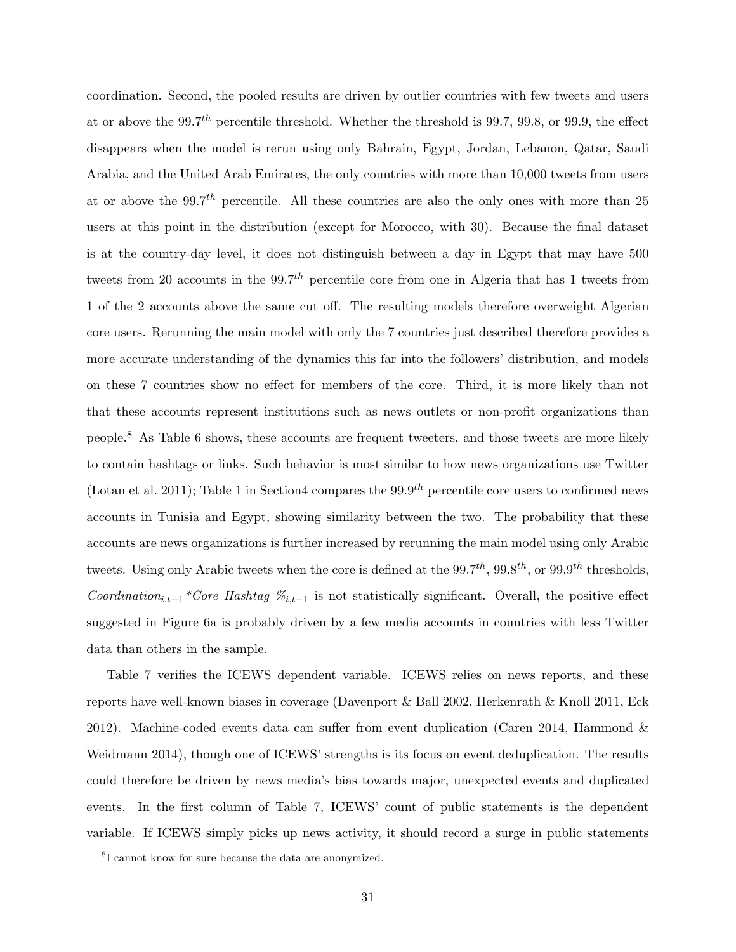coordination. Second, the pooled results are driven by outlier countries with few tweets and users at or above the 99.7<sup>th</sup> percentile threshold. Whether the threshold is 99.7, 99.8, or 99.9, the effect disappears when the model is rerun using only Bahrain, Egypt, Jordan, Lebanon, Qatar, Saudi Arabia, and the United Arab Emirates, the only countries with more than 10,000 tweets from users at or above the  $99.7<sup>th</sup>$  percentile. All these countries are also the only ones with more than 25 users at this point in the distribution (except for Morocco, with 30). Because the final dataset is at the country-day level, it does not distinguish between a day in Egypt that may have 500 tweets from 20 accounts in the  $99.7<sup>th</sup>$  percentile core from one in Algeria that has 1 tweets from 1 of the 2 accounts above the same cut off. The resulting models therefore overweight Algerian core users. Rerunning the main model with only the 7 countries just described therefore provides a more accurate understanding of the dynamics this far into the followers' distribution, and models on these 7 countries show no effect for members of the core. Third, it is more likely than not that these accounts represent institutions such as news outlets or non-profit organizations than people.<sup>8</sup> As Table 6 shows, these accounts are frequent tweeters, and those tweets are more likely to contain hashtags or links. Such behavior is most similar to how news organizations use Twitter (Lotan et al. 2011); Table 1 in Section4 compares the  $99.9<sup>th</sup>$  percentile core users to confirmed news accounts in Tunisia and Egypt, showing similarity between the two. The probability that these accounts are news organizations is further increased by rerunning the main model using only Arabic tweets. Using only Arabic tweets when the core is defined at the  $99.7^{th}$ ,  $99.8^{th}$ , or  $99.9^{th}$  thresholds, Coordination<sub>i,t−1</sub>\*Core Hashtag  $\mathcal{K}_{i,t-1}$  is not statistically significant. Overall, the positive effect suggested in Figure 6a is probably driven by a few media accounts in countries with less Twitter data than others in the sample.

Table 7 verifies the ICEWS dependent variable. ICEWS relies on news reports, and these reports have well-known biases in coverage (Davenport & Ball 2002, Herkenrath & Knoll 2011, Eck 2012). Machine-coded events data can suffer from event duplication (Caren 2014, Hammond  $\&$ Weidmann 2014), though one of ICEWS' strengths is its focus on event deduplication. The results could therefore be driven by news media's bias towards major, unexpected events and duplicated events. In the first column of Table 7, ICEWS' count of public statements is the dependent variable. If ICEWS simply picks up news activity, it should record a surge in public statements

<sup>8</sup> I cannot know for sure because the data are anonymized.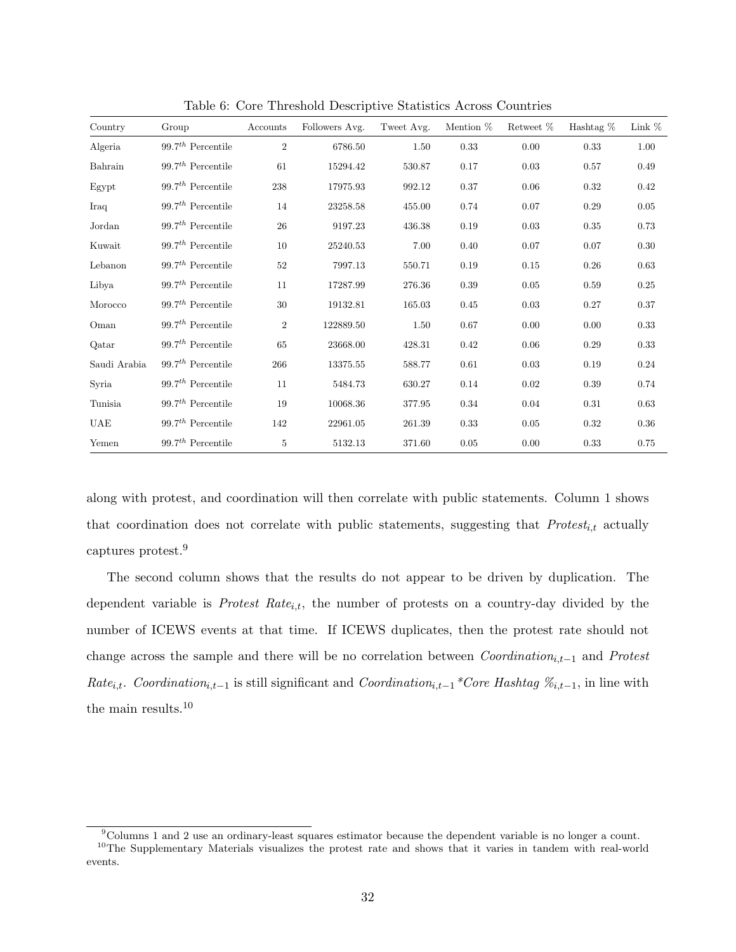| Country      | Group                         | Accounts       | Followers Avg. | Tweet Avg. | Mention $%$ | Retweet % | Hashtag $%$ | Link $%$ |
|--------------|-------------------------------|----------------|----------------|------------|-------------|-----------|-------------|----------|
| Algeria      | 99.7 <sup>th</sup> Percentile | $\overline{2}$ | 6786.50        | 1.50       | 0.33        | 0.00      | 0.33        | 1.00     |
| Bahrain      | $99.7th$ Percentile           | 61             | 15294.42       | 530.87     | 0.17        | 0.03      | 0.57        | 0.49     |
| Egypt        | $99.7th$ Percentile           | 238            | 17975.93       | 992.12     | 0.37        | 0.06      | 0.32        | 0.42     |
| Iraq         | $99.7th$ Percentile           | 14             | 23258.58       | 455.00     | 0.74        | 0.07      | 0.29        | 0.05     |
| Jordan       | $99.7th$ Percentile           | 26             | 9197.23        | 436.38     | 0.19        | 0.03      | $0.35\,$    | 0.73     |
| Kuwait       | 99.7 <sup>th</sup> Percentile | 10             | 25240.53       | 7.00       | 0.40        | 0.07      | 0.07        | $0.30\,$ |
| Lebanon      | 99.7 <sup>th</sup> Percentile | 52             | 7997.13        | 550.71     | 0.19        | 0.15      | 0.26        | 0.63     |
| Libya        | $99.7th$ Percentile           | 11             | 17287.99       | 276.36     | 0.39        | $0.05\,$  | 0.59        | 0.25     |
| Morocco      | 99.7 <sup>th</sup> Percentile | 30             | 19132.81       | 165.03     | 0.45        | 0.03      | 0.27        | 0.37     |
| Oman         | $99.7th$ Percentile           | $\sqrt{2}$     | 122889.50      | 1.50       | 0.67        | 0.00      | 0.00        | 0.33     |
| Qatar        | $99.7th$ Percentile           | 65             | 23668.00       | 428.31     | 0.42        | 0.06      | 0.29        | 0.33     |
| Saudi Arabia | 99.7 <sup>th</sup> Percentile | 266            | 13375.55       | 588.77     | 0.61        | 0.03      | 0.19        | 0.24     |
| Syria        | $99.7th$ Percentile           | 11             | 5484.73        | 630.27     | 0.14        | 0.02      | 0.39        | 0.74     |
| Tunisia      | $99.7th$ Percentile           | 19             | 10068.36       | 377.95     | 0.34        | 0.04      | 0.31        | 0.63     |
| UAE          | $99.7th$ Percentile           | 142            | 22961.05       | 261.39     | 0.33        | 0.05      | 0.32        | 0.36     |
| Yemen        | $99.7th$ Percentile           | $\overline{5}$ | 5132.13        | 371.60     | $0.05\,$    | 0.00      | 0.33        | 0.75     |

Table 6: Core Threshold Descriptive Statistics Across Countries

along with protest, and coordination will then correlate with public statements. Column 1 shows that coordination does not correlate with public statements, suggesting that  $Protest_{i,t}$  actually captures protest.<sup>9</sup>

The second column shows that the results do not appear to be driven by duplication. The dependent variable is *Protest Rate<sub>i,t</sub>*, the number of protests on a country-day divided by the number of ICEWS events at that time. If ICEWS duplicates, then the protest rate should not change across the sample and there will be no correlation between  $Coordinate_{i,t-1}$  and Protest Rate<sub>i,t.</sub> Coordination<sub>i,t−1</sub> is still significant and Coordination<sub>i,t−1</sub> \*Core Hashtag  $\mathcal{C}_{i,t-1}$ , in line with the main results.<sup>10</sup>

<sup>9</sup>Columns 1 and 2 use an ordinary-least squares estimator because the dependent variable is no longer a count. <sup>10</sup>The Supplementary Materials visualizes the protest rate and shows that it varies in tandem with real-world events.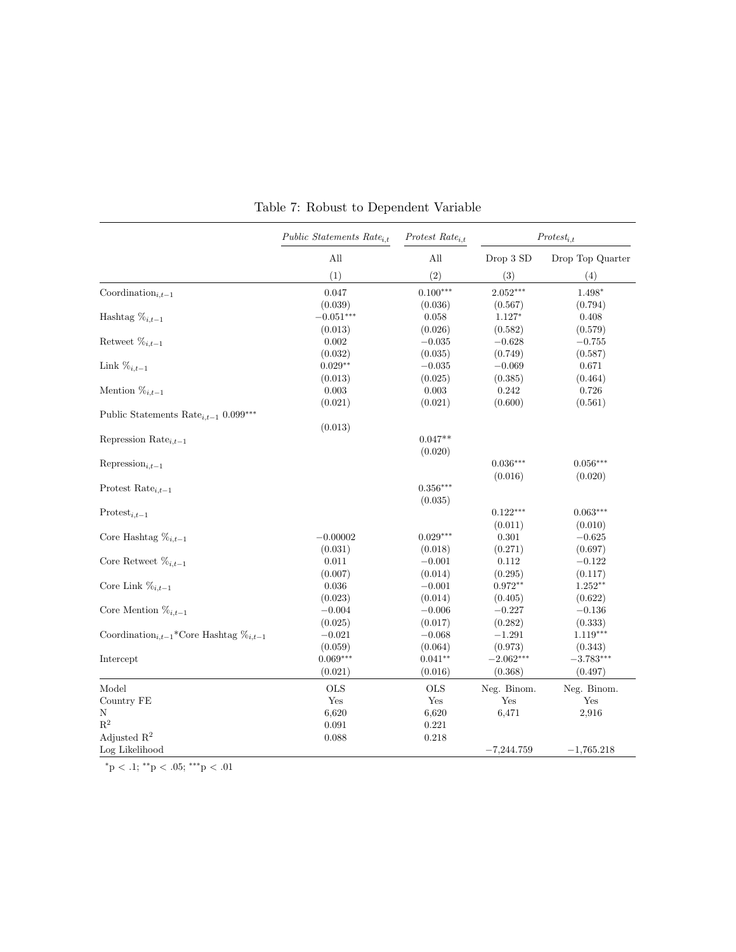|                                                          | Public Statements Rate <sub>i,t</sub> | Protest $Rate_{i,t}$ |              | $Protest_{i,t}$  |
|----------------------------------------------------------|---------------------------------------|----------------------|--------------|------------------|
|                                                          | All                                   | All                  | Drop 3 SD    | Drop Top Quarter |
|                                                          | (1)                                   | (2)                  | (3)          | (4)              |
| Coordination <sub>i,t-1</sub>                            | 0.047                                 | $0.100***$           | $2.052***$   | 1.498*           |
|                                                          | (0.039)                               | (0.036)              | (0.567)      | (0.794)          |
| Hashtag $\%_{i,t-1}$                                     | $-0.051***$                           | 0.058                | $1.127*$     | 0.408            |
|                                                          | (0.013)                               | (0.026)              | (0.582)      | (0.579)          |
| Retweet $\%_{i,t-1}$                                     | 0.002                                 | $-0.035$             | $-0.628$     | $-0.755$         |
|                                                          | (0.032)                               | (0.035)              | (0.749)      | (0.587)          |
| Link $\%_{i,t-1}$                                        | $0.029**$                             | $-0.035$             | $-0.069$     | 0.671            |
|                                                          | (0.013)                               | (0.025)              | (0.385)      | (0.464)          |
| Mention $\%_{i,t-1}$                                     | 0.003                                 | 0.003                | 0.242        | 0.726            |
|                                                          | (0.021)                               | (0.021)              | (0.600)      | (0.561)          |
| Public Statements Rate <sub>i,t-1</sub> $0.099***$       |                                       |                      |              |                  |
|                                                          | (0.013)                               |                      |              |                  |
| Repression Rate <sub>i.t-1</sub>                         |                                       | $0.047**$            |              |                  |
|                                                          |                                       | (0.020)              |              |                  |
| Repression <sub>i,t-1</sub>                              |                                       |                      | $0.036***$   | $0.056***$       |
|                                                          |                                       |                      | (0.016)      | (0.020)          |
| Protest $Rate_{i,t-1}$                                   |                                       | $0.356***$           |              |                  |
|                                                          |                                       | (0.035)              |              |                  |
| $Protest_{i,t-1}$                                        |                                       |                      | $0.122***$   | $0.063***$       |
|                                                          |                                       |                      | (0.011)      | (0.010)          |
| Core Hashtag $\%_{i,t-1}$                                | $-0.00002$                            | $0.029***$           | 0.301        | $-0.625$         |
|                                                          | (0.031)                               | (0.018)              | (0.271)      | (0.697)          |
| Core Retweet $\%_{i,t-1}$                                | 0.011                                 | $-0.001$             | 0.112        | $-0.122$         |
|                                                          | (0.007)                               | (0.014)              | (0.295)      | (0.117)          |
| Core Link $\%_{i,t-1}$                                   | 0.036                                 | $-0.001$             | $0.972**$    | $1.252**$        |
|                                                          | (0.023)                               | (0.014)              | (0.405)      | (0.622)          |
| Core Mention $\%_{i,t-1}$                                | $-0.004$                              | $-0.006$             | $-0.227$     | $-0.136$         |
|                                                          | (0.025)                               | (0.017)              | (0.282)      | (0.333)          |
| Coordination <sub>i,t-1</sub> *Core Hashtag $\%_{i,t-1}$ | $-0.021$                              | $-0.068$             | $-1.291$     | $1.119***$       |
|                                                          | (0.059)                               | (0.064)              | (0.973)      | (0.343)          |
| Intercept                                                | $0.069***$                            | $0.041**$            | $-2.062***$  | $-3.783***$      |
|                                                          | (0.021)                               | (0.016)              | (0.368)      | (0.497)          |
| Model                                                    | <b>OLS</b>                            | <b>OLS</b>           | Neg. Binom.  | Neg. Binom.      |
| Country FE                                               | Yes                                   | Yes                  | Yes          | Yes              |
| Ν                                                        | 6,620                                 | 6,620                | 6,471        | 2,916            |
| $\mathbb{R}^2$                                           | 0.091                                 | 0.221                |              |                  |
| Adjusted $\mathbb{R}^2$                                  | 0.088                                 | 0.218                |              |                  |
| Log Likelihood                                           |                                       |                      | $-7,244.759$ | $-1,765.218$     |

Table 7: Robust to Dependent Variable

 $^*{\rm p}$   $<$  .1;  $^{**}{\rm p}$   $<$  .05;  $^{***}{\rm p}$   $<$  .01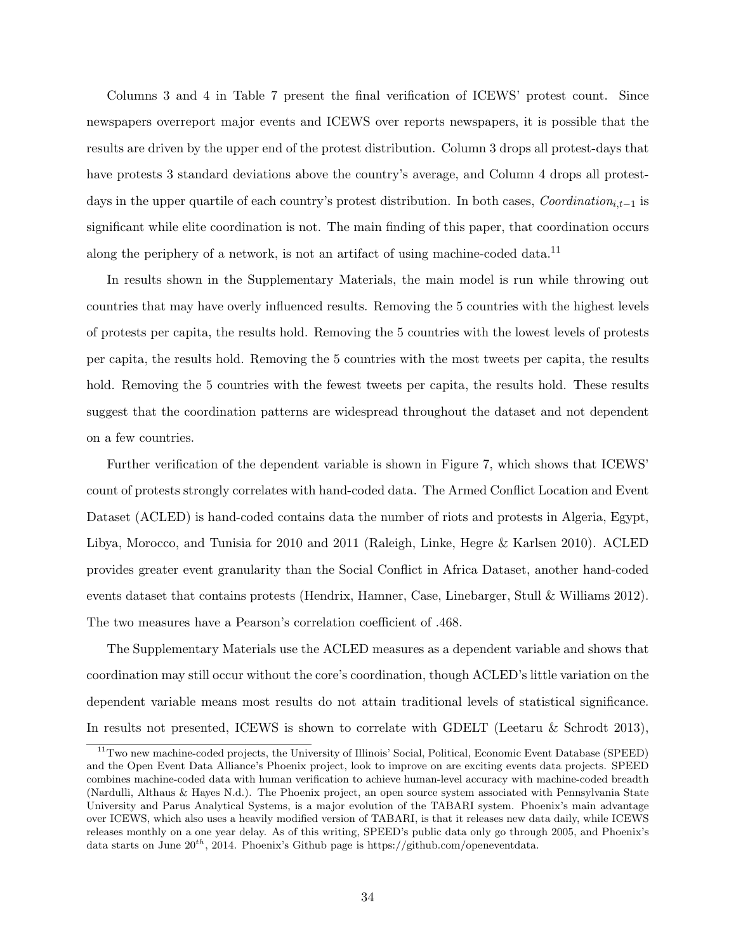Columns 3 and 4 in Table 7 present the final verification of ICEWS' protest count. Since newspapers overreport major events and ICEWS over reports newspapers, it is possible that the results are driven by the upper end of the protest distribution. Column 3 drops all protest-days that have protests 3 standard deviations above the country's average, and Column 4 drops all protestdays in the upper quartile of each country's protest distribution. In both cases, Coordination<sub>i,t−1</sub> is significant while elite coordination is not. The main finding of this paper, that coordination occurs along the periphery of a network, is not an artifact of using machine-coded data.<sup>11</sup>

In results shown in the Supplementary Materials, the main model is run while throwing out countries that may have overly influenced results. Removing the 5 countries with the highest levels of protests per capita, the results hold. Removing the 5 countries with the lowest levels of protests per capita, the results hold. Removing the 5 countries with the most tweets per capita, the results hold. Removing the 5 countries with the fewest tweets per capita, the results hold. These results suggest that the coordination patterns are widespread throughout the dataset and not dependent on a few countries.

Further verification of the dependent variable is shown in Figure 7, which shows that ICEWS' count of protests strongly correlates with hand-coded data. The Armed Conflict Location and Event Dataset (ACLED) is hand-coded contains data the number of riots and protests in Algeria, Egypt, Libya, Morocco, and Tunisia for 2010 and 2011 (Raleigh, Linke, Hegre & Karlsen 2010). ACLED provides greater event granularity than the Social Conflict in Africa Dataset, another hand-coded events dataset that contains protests (Hendrix, Hamner, Case, Linebarger, Stull & Williams 2012). The two measures have a Pearson's correlation coefficient of .468.

The Supplementary Materials use the ACLED measures as a dependent variable and shows that coordination may still occur without the core's coordination, though ACLED's little variation on the dependent variable means most results do not attain traditional levels of statistical significance. In results not presented, ICEWS is shown to correlate with GDELT (Leetaru & Schrodt 2013),

 $11$ Two new machine-coded projects, the University of Illinois' Social, Political, Economic Event Database (SPEED) and the Open Event Data Alliance's Phoenix project, look to improve on are exciting events data projects. SPEED combines machine-coded data with human verification to achieve human-level accuracy with machine-coded breadth (Nardulli, Althaus & Hayes N.d.). The Phoenix project, an open source system associated with Pennsylvania State University and Parus Analytical Systems, is a major evolution of the TABARI system. Phoenix's main advantage over ICEWS, which also uses a heavily modified version of TABARI, is that it releases new data daily, while ICEWS releases monthly on a one year delay. As of this writing, SPEED's public data only go through 2005, and Phoenix's data starts on June  $20^{th}$ , 2014. Phoenix's Github page is https://github.com/openeventdata.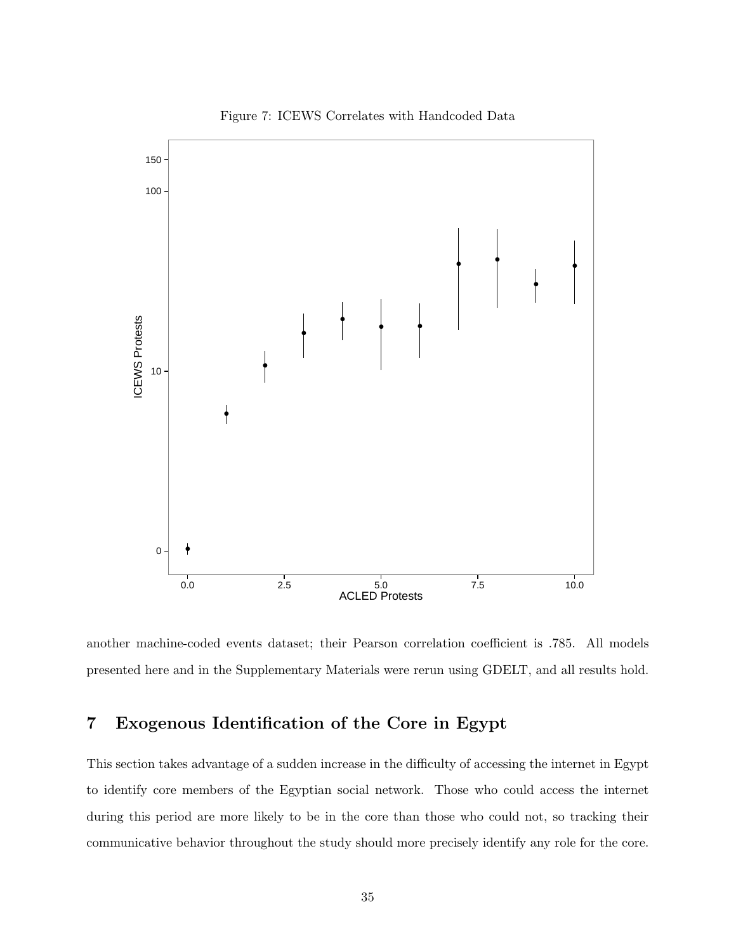

Figure 7: ICEWS Correlates with Handcoded Data

another machine-coded events dataset; their Pearson correlation coefficient is .785. All models presented here and in the Supplementary Materials were rerun using GDELT, and all results hold.

# 7 Exogenous Identification of the Core in Egypt

This section takes advantage of a sudden increase in the difficulty of accessing the internet in Egypt to identify core members of the Egyptian social network. Those who could access the internet during this period are more likely to be in the core than those who could not, so tracking their communicative behavior throughout the study should more precisely identify any role for the core.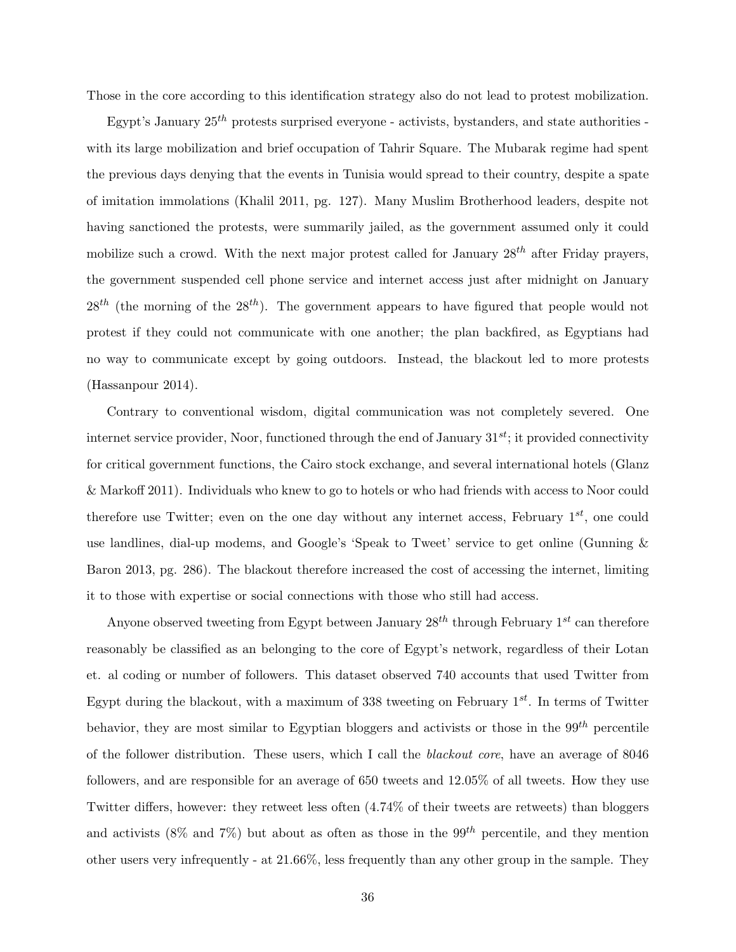Those in the core according to this identification strategy also do not lead to protest mobilization.

Egypt's January  $25^{th}$  protests surprised everyone - activists, bystanders, and state authorities with its large mobilization and brief occupation of Tahrir Square. The Mubarak regime had spent the previous days denying that the events in Tunisia would spread to their country, despite a spate of imitation immolations (Khalil 2011, pg. 127). Many Muslim Brotherhood leaders, despite not having sanctioned the protests, were summarily jailed, as the government assumed only it could mobilize such a crowd. With the next major protest called for January  $28^{th}$  after Friday prayers, the government suspended cell phone service and internet access just after midnight on January  $28^{th}$  (the morning of the  $28^{th}$ ). The government appears to have figured that people would not protest if they could not communicate with one another; the plan backfired, as Egyptians had no way to communicate except by going outdoors. Instead, the blackout led to more protests (Hassanpour 2014).

Contrary to conventional wisdom, digital communication was not completely severed. One internet service provider, Noor, functioned through the end of January  $31^{st}$ ; it provided connectivity for critical government functions, the Cairo stock exchange, and several international hotels (Glanz & Markoff 2011). Individuals who knew to go to hotels or who had friends with access to Noor could therefore use Twitter; even on the one day without any internet access, February  $1^{st}$ , one could use landlines, dial-up modems, and Google's 'Speak to Tweet' service to get online (Gunning & Baron 2013, pg. 286). The blackout therefore increased the cost of accessing the internet, limiting it to those with expertise or social connections with those who still had access.

Anyone observed tweeting from Egypt between January  $28^{th}$  through February  $1^{st}$  can therefore reasonably be classified as an belonging to the core of Egypt's network, regardless of their Lotan et. al coding or number of followers. This dataset observed 740 accounts that used Twitter from Egypt during the blackout, with a maximum of 338 tweeting on February  $1^{st}$ . In terms of Twitter behavior, they are most similar to Egyptian bloggers and activists or those in the  $99^{th}$  percentile of the follower distribution. These users, which I call the blackout core, have an average of 8046 followers, and are responsible for an average of 650 tweets and 12.05% of all tweets. How they use Twitter differs, however: they retweet less often (4.74% of their tweets are retweets) than bloggers and activists (8% and 7%) but about as often as those in the 99<sup>th</sup> percentile, and they mention other users very infrequently - at 21.66%, less frequently than any other group in the sample. They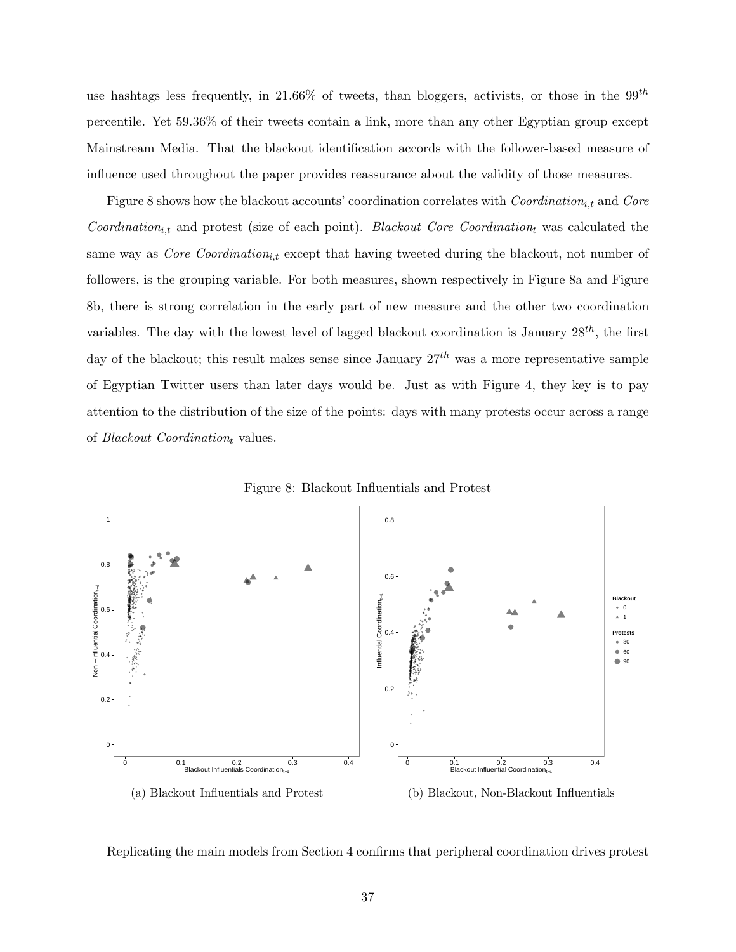use hashtags less frequently, in 21.66% of tweets, than bloggers, activists, or those in the  $99^{th}$ percentile. Yet 59.36% of their tweets contain a link, more than any other Egyptian group except Mainstream Media. That the blackout identification accords with the follower-based measure of influence used throughout the paper provides reassurance about the validity of those measures.

Figure 8 shows how the blackout accounts' coordination correlates with  $Coordinate_{i,t}$  and Core Coordination<sub>i,t</sub> and protest (size of each point). Blackout Core Coordination<sub>t</sub> was calculated the same way as *Core Coordination*<sub>i,t</sub> except that having tweeted during the blackout, not number of followers, is the grouping variable. For both measures, shown respectively in Figure 8a and Figure 8b, there is strong correlation in the early part of new measure and the other two coordination variables. The day with the lowest level of lagged blackout coordination is January  $28^{th}$ , the first day of the blackout; this result makes sense since January  $27^{th}$  was a more representative sample of Egyptian Twitter users than later days would be. Just as with Figure 4, they key is to pay attention to the distribution of the size of the points: days with many protests occur across a range of *Blackout Coordination*, values.



Figure 8: Blackout Influentials and Protest

Replicating the main models from Section 4 confirms that peripheral coordination drives protest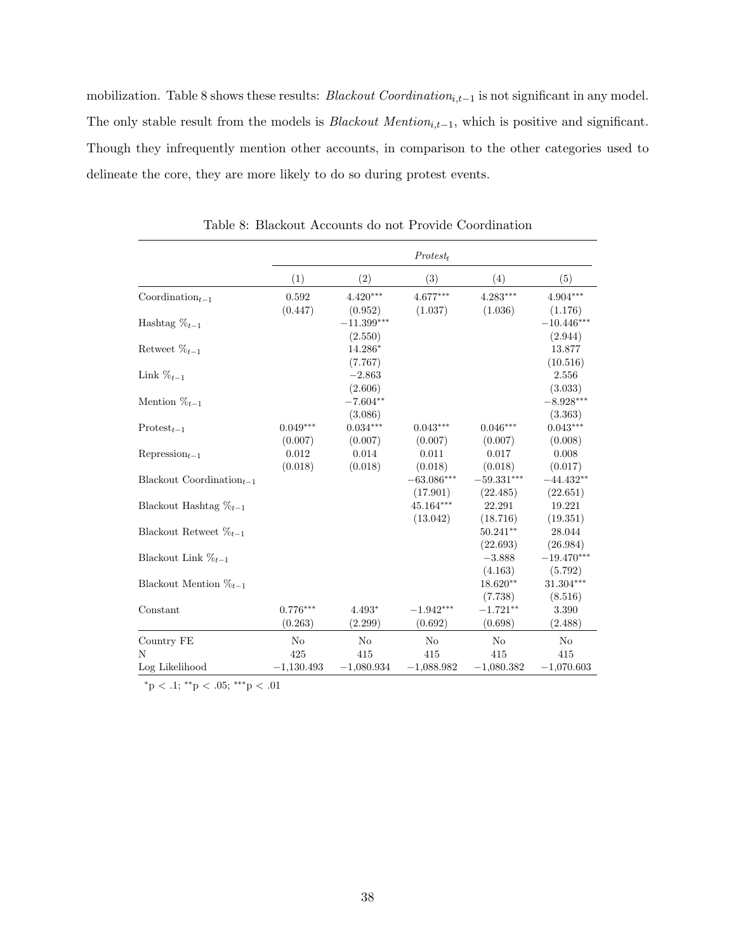mobilization. Table 8 shows these results: Blackout Coordination<sub>i,t−1</sub> is not significant in any model. The only stable result from the models is  $Blackout$  Mention<sub>i,t−1</sub>, which is positive and significant. Though they infrequently mention other accounts, in comparison to the other categories used to delineate the core, they are more likely to do so during protest events.

|                                   |              |                | $Protest_t$  |              |              |
|-----------------------------------|--------------|----------------|--------------|--------------|--------------|
|                                   | (1)          | (2)            | (3)          | (4)          | (5)          |
| Coordination $_{t-1}$             | 0.592        | $4.420***$     | $4.677***$   | $4.283***$   | $4.904***$   |
|                                   | (0.447)      | (0.952)        | (1.037)      | (1.036)      | (1.176)      |
| Hashtag $\%_{t-1}$                |              | $-11.399***$   |              |              | $-10.446***$ |
|                                   |              | (2.550)        |              |              | (2.944)      |
| Retweet $\%_{t-1}$                |              | 14.286*        |              |              | 13.877       |
|                                   |              | (7.767)        |              |              | (10.516)     |
| Link $\%_{t-1}$                   |              | $-2.863$       |              |              | 2.556        |
|                                   |              | (2.606)        |              |              | (3.033)      |
| Mention $\%_{t-1}$                |              | $-7.604**$     |              |              | $-8.928***$  |
|                                   |              | (3.086)        |              |              | (3.363)      |
| $Protest_{t-1}$                   | $0.049***$   | $0.034***$     | $0.043***$   | $0.046***$   | $0.043***$   |
|                                   | (0.007)      | (0.007)        | (0.007)      | (0.007)      | (0.008)      |
| $Representationt-1$               | 0.012        | 0.014          | 0.011        | 0.017        | 0.008        |
|                                   | (0.018)      | (0.018)        | (0.018)      | (0.018)      | (0.017)      |
| Blackout Coordination $_{t-1}$    |              |                | $-63.086***$ | $-59.331***$ | $-44.432**$  |
|                                   |              |                | (17.901)     | (22.485)     | (22.651)     |
| Blackout Hashtag $\%_{t-1}$       |              |                | $45.164***$  | 22.291       | 19.221       |
|                                   |              |                | (13.042)     | (18.716)     | (19.351)     |
| Blackout Retweet $\%_{t-1}$       |              |                |              | $50.241**$   | 28.044       |
|                                   |              |                |              | (22.693)     | (26.984)     |
| Blackout Link $\mathcal{V}_{t-1}$ |              |                |              | $-3.888$     | $-19.470***$ |
|                                   |              |                |              | (4.163)      | (5.792)      |
| Blackout Mention $\%_{t-1}$       |              |                |              | 18.620**     | $31.304***$  |
|                                   |              |                |              | (7.738)      | (8.516)      |
| Constant                          | $0.776***$   | $4.493*$       | $-1.942***$  | $-1.721**$   | $3.390\,$    |
|                                   | (0.263)      | (2.299)        | (0.692)      | (0.698)      | (2.488)      |
| Country FE                        | No           | N <sub>o</sub> | No           | $\rm No$     | No           |
| N                                 | 425          | 415            | 415          | 415          | 415          |
| Log Likelihood                    | $-1,130.493$ | $-1,080.934$   | $-1,088.982$ | $-1,080.382$ | $-1,070.603$ |

Table 8: Blackout Accounts do not Provide Coordination

 $*$ <sup>r</sup>p < .1;  $*$ <sup>\*</sup> $p$  < .05;  $*$ <sup>\*\*</sup> $p$  < .01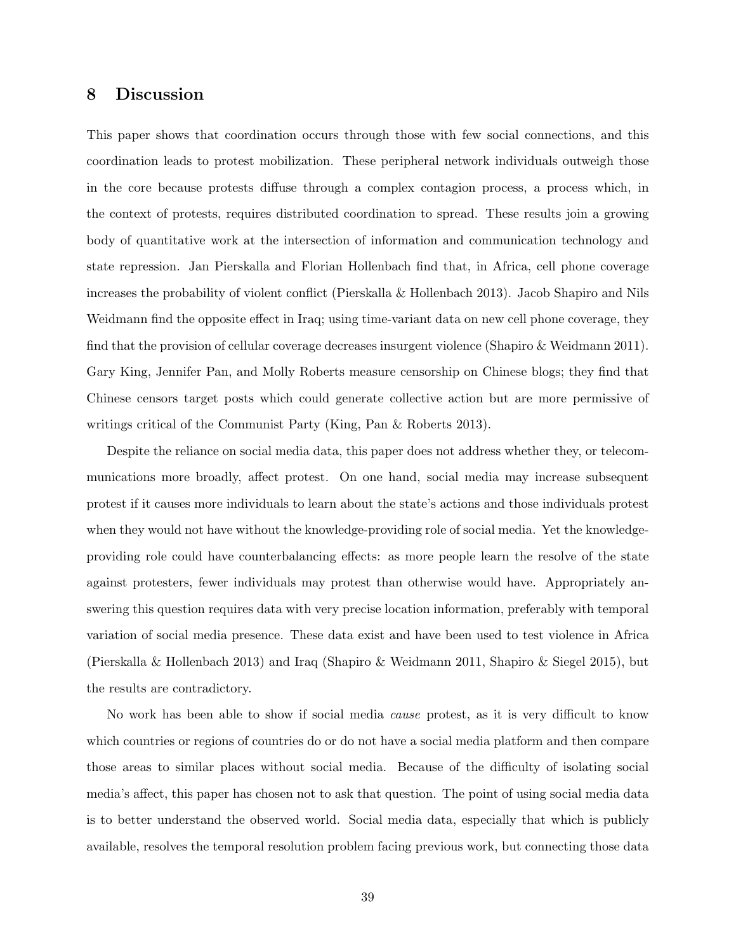### 8 Discussion

This paper shows that coordination occurs through those with few social connections, and this coordination leads to protest mobilization. These peripheral network individuals outweigh those in the core because protests diffuse through a complex contagion process, a process which, in the context of protests, requires distributed coordination to spread. These results join a growing body of quantitative work at the intersection of information and communication technology and state repression. Jan Pierskalla and Florian Hollenbach find that, in Africa, cell phone coverage increases the probability of violent conflict (Pierskalla & Hollenbach 2013). Jacob Shapiro and Nils Weidmann find the opposite effect in Iraq; using time-variant data on new cell phone coverage, they find that the provision of cellular coverage decreases insurgent violence (Shapiro & Weidmann 2011). Gary King, Jennifer Pan, and Molly Roberts measure censorship on Chinese blogs; they find that Chinese censors target posts which could generate collective action but are more permissive of writings critical of the Communist Party (King, Pan & Roberts 2013).

Despite the reliance on social media data, this paper does not address whether they, or telecommunications more broadly, affect protest. On one hand, social media may increase subsequent protest if it causes more individuals to learn about the state's actions and those individuals protest when they would not have without the knowledge-providing role of social media. Yet the knowledgeproviding role could have counterbalancing effects: as more people learn the resolve of the state against protesters, fewer individuals may protest than otherwise would have. Appropriately answering this question requires data with very precise location information, preferably with temporal variation of social media presence. These data exist and have been used to test violence in Africa (Pierskalla & Hollenbach 2013) and Iraq (Shapiro & Weidmann 2011, Shapiro & Siegel 2015), but the results are contradictory.

No work has been able to show if social media cause protest, as it is very difficult to know which countries or regions of countries do or do not have a social media platform and then compare those areas to similar places without social media. Because of the difficulty of isolating social media's affect, this paper has chosen not to ask that question. The point of using social media data is to better understand the observed world. Social media data, especially that which is publicly available, resolves the temporal resolution problem facing previous work, but connecting those data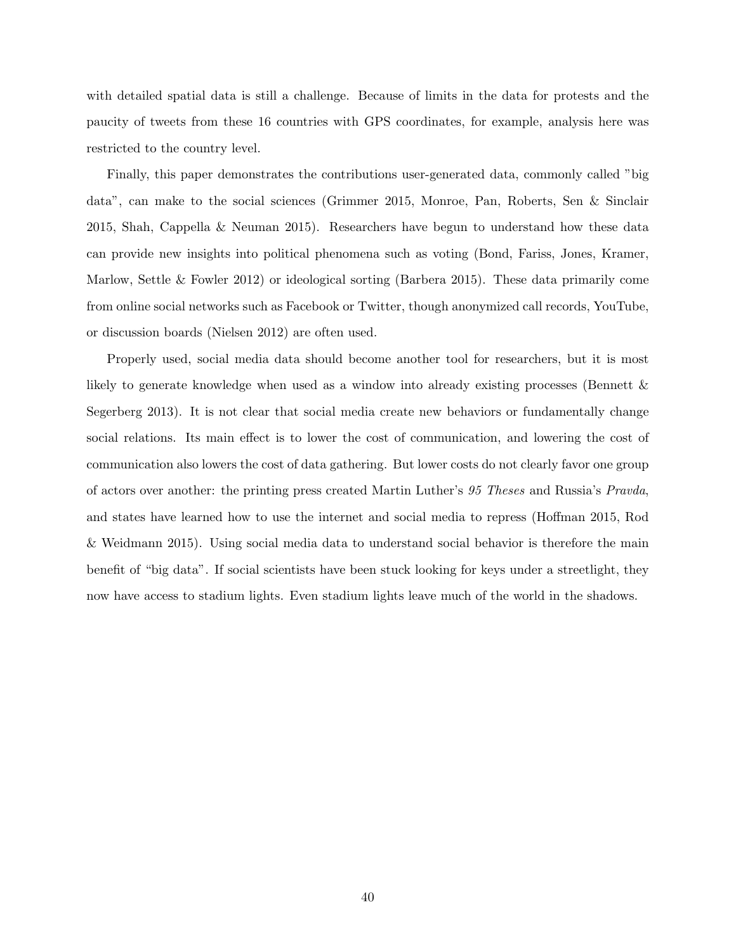with detailed spatial data is still a challenge. Because of limits in the data for protests and the paucity of tweets from these 16 countries with GPS coordinates, for example, analysis here was restricted to the country level.

Finally, this paper demonstrates the contributions user-generated data, commonly called "big data", can make to the social sciences (Grimmer 2015, Monroe, Pan, Roberts, Sen & Sinclair 2015, Shah, Cappella & Neuman 2015). Researchers have begun to understand how these data can provide new insights into political phenomena such as voting (Bond, Fariss, Jones, Kramer, Marlow, Settle & Fowler 2012) or ideological sorting (Barbera 2015). These data primarily come from online social networks such as Facebook or Twitter, though anonymized call records, YouTube, or discussion boards (Nielsen 2012) are often used.

Properly used, social media data should become another tool for researchers, but it is most likely to generate knowledge when used as a window into already existing processes (Bennett & Segerberg 2013). It is not clear that social media create new behaviors or fundamentally change social relations. Its main effect is to lower the cost of communication, and lowering the cost of communication also lowers the cost of data gathering. But lower costs do not clearly favor one group of actors over another: the printing press created Martin Luther's 95 Theses and Russia's Pravda, and states have learned how to use the internet and social media to repress (Hoffman 2015, Rod & Weidmann 2015). Using social media data to understand social behavior is therefore the main benefit of "big data". If social scientists have been stuck looking for keys under a streetlight, they now have access to stadium lights. Even stadium lights leave much of the world in the shadows.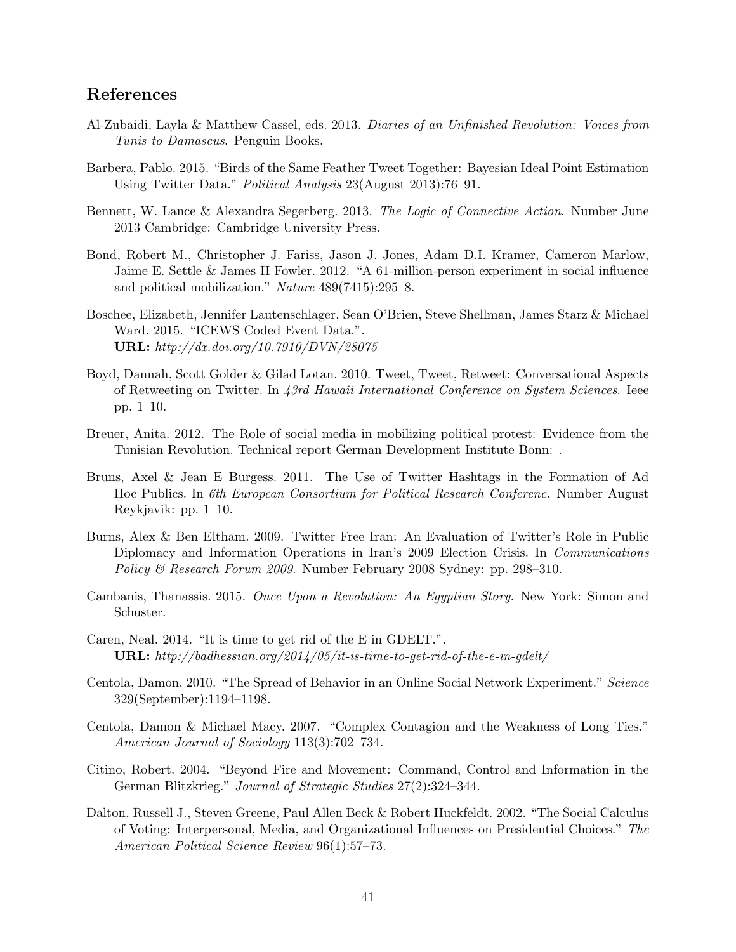# References

- Al-Zubaidi, Layla & Matthew Cassel, eds. 2013. Diaries of an Unfinished Revolution: Voices from Tunis to Damascus. Penguin Books.
- Barbera, Pablo. 2015. "Birds of the Same Feather Tweet Together: Bayesian Ideal Point Estimation Using Twitter Data." Political Analysis 23(August 2013):76–91.
- Bennett, W. Lance & Alexandra Segerberg. 2013. The Logic of Connective Action. Number June 2013 Cambridge: Cambridge University Press.
- Bond, Robert M., Christopher J. Fariss, Jason J. Jones, Adam D.I. Kramer, Cameron Marlow, Jaime E. Settle & James H Fowler. 2012. "A 61-million-person experiment in social influence and political mobilization." Nature 489(7415):295–8.
- Boschee, Elizabeth, Jennifer Lautenschlager, Sean O'Brien, Steve Shellman, James Starz & Michael Ward. 2015. "ICEWS Coded Event Data.". URL: http://dx.doi.org/10.7910/DVN/28075
- Boyd, Dannah, Scott Golder & Gilad Lotan. 2010. Tweet, Tweet, Retweet: Conversational Aspects of Retweeting on Twitter. In 43rd Hawaii International Conference on System Sciences. Ieee pp. 1–10.
- Breuer, Anita. 2012. The Role of social media in mobilizing political protest: Evidence from the Tunisian Revolution. Technical report German Development Institute Bonn: .
- Bruns, Axel & Jean E Burgess. 2011. The Use of Twitter Hashtags in the Formation of Ad Hoc Publics. In 6th European Consortium for Political Research Conferenc. Number August Reykjavik: pp. 1–10.
- Burns, Alex & Ben Eltham. 2009. Twitter Free Iran: An Evaluation of Twitter's Role in Public Diplomacy and Information Operations in Iran's 2009 Election Crisis. In Communications Policy & Research Forum 2009. Number February 2008 Sydney: pp. 298–310.
- Cambanis, Thanassis. 2015. Once Upon a Revolution: An Egyptian Story. New York: Simon and Schuster.
- Caren, Neal. 2014. "It is time to get rid of the E in GDELT.". URL: http://badhessian.org/2014/05/it-is-time-to-get-rid-of-the-e-in-gdelt/
- Centola, Damon. 2010. "The Spread of Behavior in an Online Social Network Experiment." Science 329(September):1194–1198.
- Centola, Damon & Michael Macy. 2007. "Complex Contagion and the Weakness of Long Ties." American Journal of Sociology 113(3):702–734.
- Citino, Robert. 2004. "Beyond Fire and Movement: Command, Control and Information in the German Blitzkrieg." Journal of Strategic Studies 27(2):324–344.
- Dalton, Russell J., Steven Greene, Paul Allen Beck & Robert Huckfeldt. 2002. "The Social Calculus of Voting: Interpersonal, Media, and Organizational Influences on Presidential Choices." The American Political Science Review 96(1):57–73.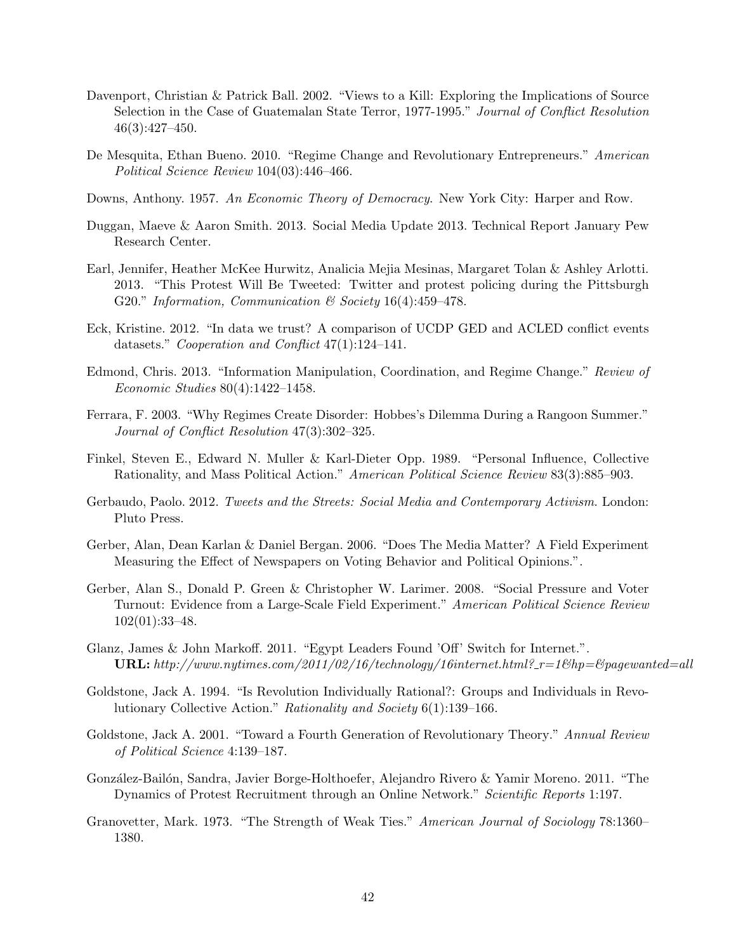- Davenport, Christian & Patrick Ball. 2002. "Views to a Kill: Exploring the Implications of Source Selection in the Case of Guatemalan State Terror, 1977-1995." Journal of Conflict Resolution 46(3):427–450.
- De Mesquita, Ethan Bueno. 2010. "Regime Change and Revolutionary Entrepreneurs." American Political Science Review 104(03):446–466.
- Downs, Anthony. 1957. An Economic Theory of Democracy. New York City: Harper and Row.
- Duggan, Maeve & Aaron Smith. 2013. Social Media Update 2013. Technical Report January Pew Research Center.
- Earl, Jennifer, Heather McKee Hurwitz, Analicia Mejia Mesinas, Margaret Tolan & Ashley Arlotti. 2013. "This Protest Will Be Tweeted: Twitter and protest policing during the Pittsburgh G20." Information, Communication  $\mathcal C$  Society 16(4):459-478.
- Eck, Kristine. 2012. "In data we trust? A comparison of UCDP GED and ACLED conflict events datasets." Cooperation and Conflict 47(1):124–141.
- Edmond, Chris. 2013. "Information Manipulation, Coordination, and Regime Change." Review of Economic Studies 80(4):1422–1458.
- Ferrara, F. 2003. "Why Regimes Create Disorder: Hobbes's Dilemma During a Rangoon Summer." Journal of Conflict Resolution 47(3):302–325.
- Finkel, Steven E., Edward N. Muller & Karl-Dieter Opp. 1989. "Personal Influence, Collective Rationality, and Mass Political Action." American Political Science Review 83(3):885–903.
- Gerbaudo, Paolo. 2012. Tweets and the Streets: Social Media and Contemporary Activism. London: Pluto Press.
- Gerber, Alan, Dean Karlan & Daniel Bergan. 2006. "Does The Media Matter? A Field Experiment Measuring the Effect of Newspapers on Voting Behavior and Political Opinions.".
- Gerber, Alan S., Donald P. Green & Christopher W. Larimer. 2008. "Social Pressure and Voter Turnout: Evidence from a Large-Scale Field Experiment." American Political Science Review 102(01):33–48.
- Glanz, James & John Markoff. 2011. "Egypt Leaders Found 'Off' Switch for Internet.". URL: http://www.nytimes.com/2011/02/16/technology/16internet.html?\_r=1&hp=&pagewanted=all
- Goldstone, Jack A. 1994. "Is Revolution Individually Rational?: Groups and Individuals in Revolutionary Collective Action." Rationality and Society 6(1):139–166.
- Goldstone, Jack A. 2001. "Toward a Fourth Generation of Revolutionary Theory." Annual Review of Political Science 4:139–187.
- González-Bailón, Sandra, Javier Borge-Holthoefer, Alejandro Rivero & Yamir Moreno. 2011. "The Dynamics of Protest Recruitment through an Online Network." Scientific Reports 1:197.
- Granovetter, Mark. 1973. "The Strength of Weak Ties." American Journal of Sociology 78:1360– 1380.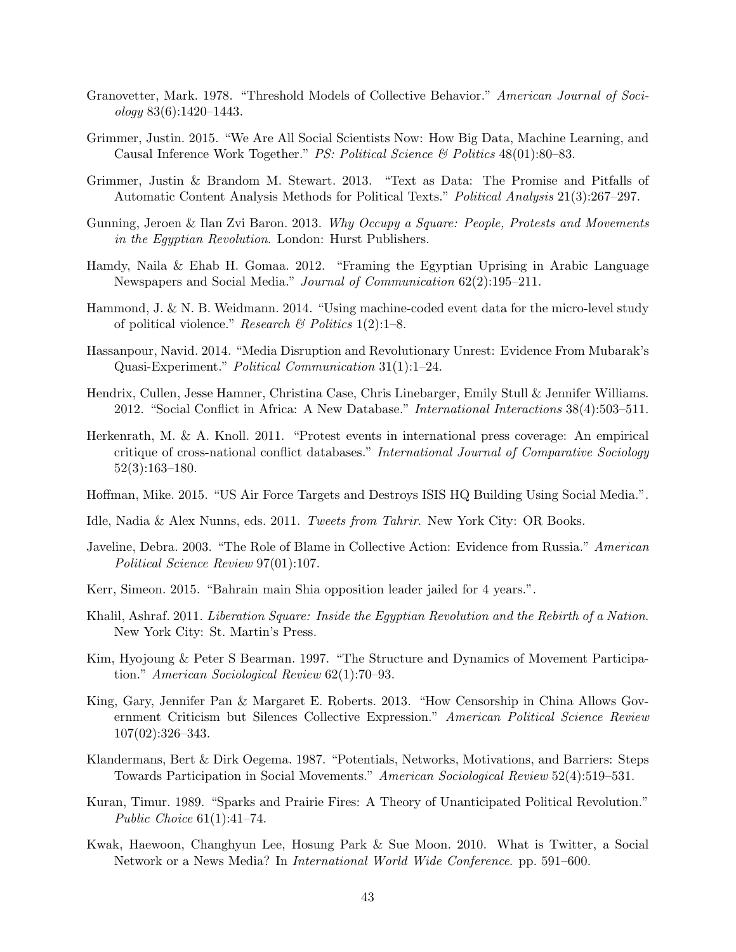- Granovetter, Mark. 1978. "Threshold Models of Collective Behavior." American Journal of Sociology 83(6):1420–1443.
- Grimmer, Justin. 2015. "We Are All Social Scientists Now: How Big Data, Machine Learning, and Causal Inference Work Together." PS: Political Science & Politics 48(01):80–83.
- Grimmer, Justin & Brandom M. Stewart. 2013. "Text as Data: The Promise and Pitfalls of Automatic Content Analysis Methods for Political Texts." Political Analysis 21(3):267–297.
- Gunning, Jeroen & Ilan Zvi Baron. 2013. Why Occupy a Square: People, Protests and Movements in the Egyptian Revolution. London: Hurst Publishers.
- Hamdy, Naila & Ehab H. Gomaa. 2012. "Framing the Egyptian Uprising in Arabic Language Newspapers and Social Media." Journal of Communication 62(2):195–211.
- Hammond, J. & N. B. Weidmann. 2014. "Using machine-coded event data for the micro-level study of political violence." Research & Politics  $1(2):1-8$ .
- Hassanpour, Navid. 2014. "Media Disruption and Revolutionary Unrest: Evidence From Mubarak's Quasi-Experiment." Political Communication 31(1):1–24.
- Hendrix, Cullen, Jesse Hamner, Christina Case, Chris Linebarger, Emily Stull & Jennifer Williams. 2012. "Social Conflict in Africa: A New Database." International Interactions 38(4):503–511.
- Herkenrath, M. & A. Knoll. 2011. "Protest events in international press coverage: An empirical critique of cross-national conflict databases." International Journal of Comparative Sociology 52(3):163–180.
- Hoffman, Mike. 2015. "US Air Force Targets and Destroys ISIS HQ Building Using Social Media.".
- Idle, Nadia & Alex Nunns, eds. 2011. Tweets from Tahrir. New York City: OR Books.
- Javeline, Debra. 2003. "The Role of Blame in Collective Action: Evidence from Russia." American Political Science Review 97(01):107.
- Kerr, Simeon. 2015. "Bahrain main Shia opposition leader jailed for 4 years.".
- Khalil, Ashraf. 2011. Liberation Square: Inside the Egyptian Revolution and the Rebirth of a Nation. New York City: St. Martin's Press.
- Kim, Hyojoung & Peter S Bearman. 1997. "The Structure and Dynamics of Movement Participation." American Sociological Review 62(1):70–93.
- King, Gary, Jennifer Pan & Margaret E. Roberts. 2013. "How Censorship in China Allows Government Criticism but Silences Collective Expression." American Political Science Review 107(02):326–343.
- Klandermans, Bert & Dirk Oegema. 1987. "Potentials, Networks, Motivations, and Barriers: Steps Towards Participation in Social Movements." American Sociological Review 52(4):519–531.
- Kuran, Timur. 1989. "Sparks and Prairie Fires: A Theory of Unanticipated Political Revolution." Public Choice 61(1):41–74.
- Kwak, Haewoon, Changhyun Lee, Hosung Park & Sue Moon. 2010. What is Twitter, a Social Network or a News Media? In International World Wide Conference. pp. 591–600.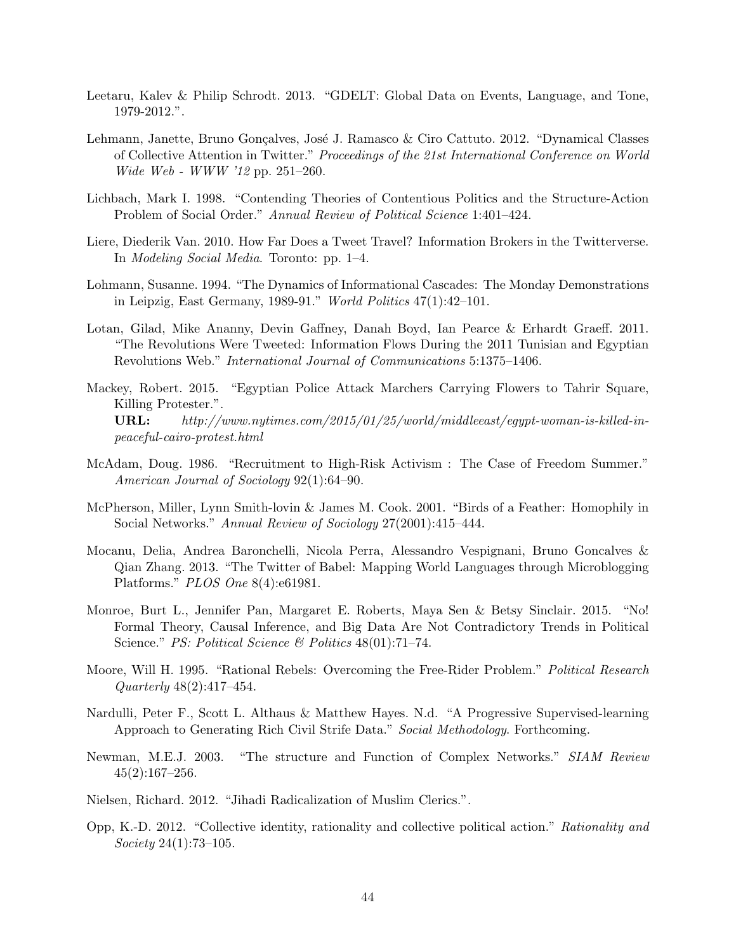- Leetaru, Kalev & Philip Schrodt. 2013. "GDELT: Global Data on Events, Language, and Tone, 1979-2012.".
- Lehmann, Janette, Bruno Gonçalves, José J. Ramasco & Ciro Cattuto. 2012. "Dynamical Classes of Collective Attention in Twitter." Proceedings of the 21st International Conference on World Wide Web - WWW '12 pp. 251–260.
- Lichbach, Mark I. 1998. "Contending Theories of Contentious Politics and the Structure-Action Problem of Social Order." Annual Review of Political Science 1:401–424.
- Liere, Diederik Van. 2010. How Far Does a Tweet Travel? Information Brokers in the Twitterverse. In Modeling Social Media. Toronto: pp. 1–4.
- Lohmann, Susanne. 1994. "The Dynamics of Informational Cascades: The Monday Demonstrations in Leipzig, East Germany, 1989-91." World Politics 47(1):42–101.
- Lotan, Gilad, Mike Ananny, Devin Gaffney, Danah Boyd, Ian Pearce & Erhardt Graeff. 2011. "The Revolutions Were Tweeted: Information Flows During the 2011 Tunisian and Egyptian Revolutions Web." International Journal of Communications 5:1375–1406.
- Mackey, Robert. 2015. "Egyptian Police Attack Marchers Carrying Flowers to Tahrir Square, Killing Protester.". URL: http://www.nytimes.com/2015/01/25/world/middleeast/egypt-woman-is-killed-inpeaceful-cairo-protest.html
- McAdam, Doug. 1986. "Recruitment to High-Risk Activism : The Case of Freedom Summer." American Journal of Sociology 92(1):64–90.
- McPherson, Miller, Lynn Smith-lovin & James M. Cook. 2001. "Birds of a Feather: Homophily in Social Networks." Annual Review of Sociology 27(2001):415–444.
- Mocanu, Delia, Andrea Baronchelli, Nicola Perra, Alessandro Vespignani, Bruno Goncalves & Qian Zhang. 2013. "The Twitter of Babel: Mapping World Languages through Microblogging Platforms." PLOS One 8(4):e61981.
- Monroe, Burt L., Jennifer Pan, Margaret E. Roberts, Maya Sen & Betsy Sinclair. 2015. "No! Formal Theory, Causal Inference, and Big Data Are Not Contradictory Trends in Political Science." PS: Political Science & Politics 48(01):71-74.
- Moore, Will H. 1995. "Rational Rebels: Overcoming the Free-Rider Problem." Political Research Quarterly 48(2):417–454.
- Nardulli, Peter F., Scott L. Althaus & Matthew Hayes. N.d. "A Progressive Supervised-learning Approach to Generating Rich Civil Strife Data." Social Methodology. Forthcoming.
- Newman, M.E.J. 2003. "The structure and Function of Complex Networks." SIAM Review  $45(2):167-256.$
- Nielsen, Richard. 2012. "Jihadi Radicalization of Muslim Clerics.".
- Opp, K.-D. 2012. "Collective identity, rationality and collective political action." Rationality and Society 24(1):73–105.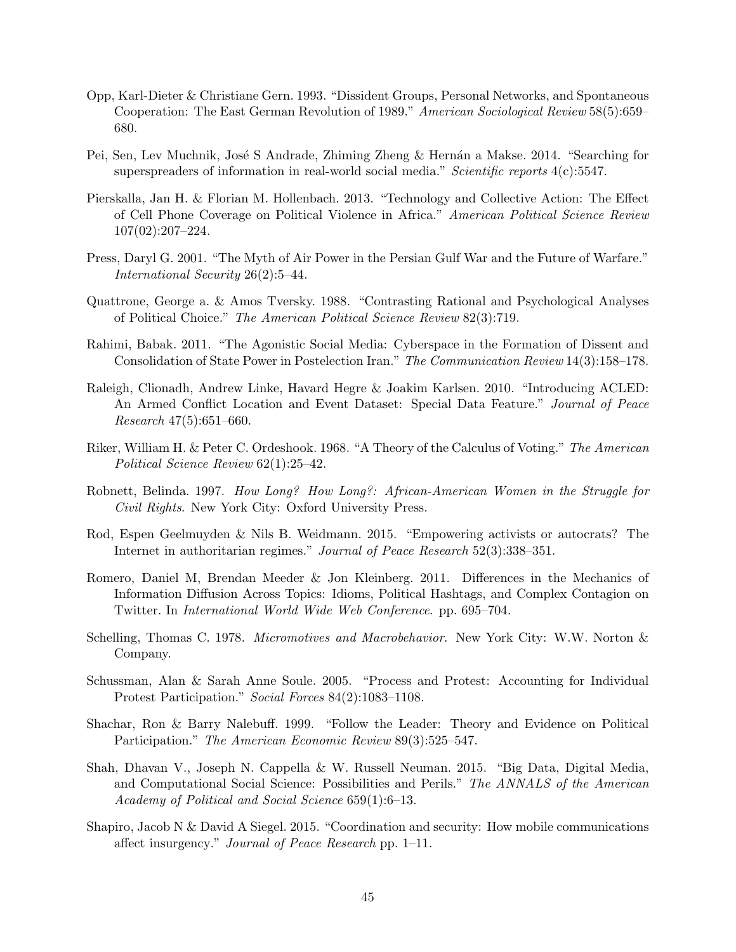- Opp, Karl-Dieter & Christiane Gern. 1993. "Dissident Groups, Personal Networks, and Spontaneous Cooperation: The East German Revolution of 1989." American Sociological Review 58(5):659– 680.
- Pei, Sen, Lev Muchnik, José S Andrade, Zhiming Zheng & Hernán a Makse. 2014. "Searching for superspreaders of information in real-world social media." Scientific reports 4(c):5547.
- Pierskalla, Jan H. & Florian M. Hollenbach. 2013. "Technology and Collective Action: The Effect of Cell Phone Coverage on Political Violence in Africa." American Political Science Review 107(02):207–224.
- Press, Daryl G. 2001. "The Myth of Air Power in the Persian Gulf War and the Future of Warfare." International Security 26(2):5–44.
- Quattrone, George a. & Amos Tversky. 1988. "Contrasting Rational and Psychological Analyses of Political Choice." The American Political Science Review 82(3):719.
- Rahimi, Babak. 2011. "The Agonistic Social Media: Cyberspace in the Formation of Dissent and Consolidation of State Power in Postelection Iran." The Communication Review 14(3):158–178.
- Raleigh, Clionadh, Andrew Linke, Havard Hegre & Joakim Karlsen. 2010. "Introducing ACLED: An Armed Conflict Location and Event Dataset: Special Data Feature." Journal of Peace Research 47(5):651–660.
- Riker, William H. & Peter C. Ordeshook. 1968. "A Theory of the Calculus of Voting." The American Political Science Review 62(1):25–42.
- Robnett, Belinda. 1997. How Long? How Long?: African-American Women in the Struggle for Civil Rights. New York City: Oxford University Press.
- Rod, Espen Geelmuyden & Nils B. Weidmann. 2015. "Empowering activists or autocrats? The Internet in authoritarian regimes." Journal of Peace Research 52(3):338–351.
- Romero, Daniel M, Brendan Meeder & Jon Kleinberg. 2011. Differences in the Mechanics of Information Diffusion Across Topics: Idioms, Political Hashtags, and Complex Contagion on Twitter. In International World Wide Web Conference. pp. 695–704.
- Schelling, Thomas C. 1978. Micromotives and Macrobehavior. New York City: W.W. Norton & Company.
- Schussman, Alan & Sarah Anne Soule. 2005. "Process and Protest: Accounting for Individual Protest Participation." Social Forces 84(2):1083-1108.
- Shachar, Ron & Barry Nalebuff. 1999. "Follow the Leader: Theory and Evidence on Political Participation." The American Economic Review 89(3):525–547.
- Shah, Dhavan V., Joseph N. Cappella & W. Russell Neuman. 2015. "Big Data, Digital Media, and Computational Social Science: Possibilities and Perils." The ANNALS of the American Academy of Political and Social Science 659(1):6–13.
- Shapiro, Jacob N & David A Siegel. 2015. "Coordination and security: How mobile communications affect insurgency." Journal of Peace Research pp. 1–11.